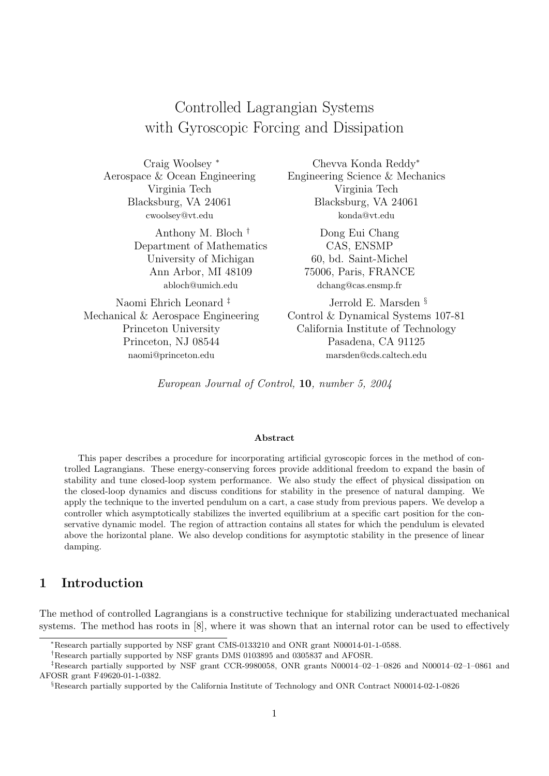Controlled Lagrangian Systems with Gyroscopic Forcing and Dissipation

Craig Woolsey <sup>∗</sup> Aerospace & Ocean Engineering Virginia Tech Blacksburg, VA 24061 cwoolsey@vt.edu

> Anthony M. Bloch † Department of Mathematics University of Michigan Ann Arbor, MI 48109 abloch@umich.edu

Naomi Ehrich Leonard ‡ Mechanical & Aerospace Engineering Princeton University Princeton, NJ 08544 naomi@princeton.edu

Chevva Konda Reddy<sup>∗</sup> Engineering Science & Mechanics Virginia Tech Blacksburg, VA 24061 konda@vt.edu

> Dong Eui Chang CAS, ENSMP 60, bd. Saint-Michel 75006, Paris, FRANCE dchang@cas.ensmp.fr

Jerrold E. Marsden § Control & Dynamical Systems 107-81 California Institute of Technology Pasadena, CA 91125 marsden@cds.caltech.edu

European Journal of Control, 10, number 5, 2004

### Abstract

This paper describes a procedure for incorporating artificial gyroscopic forces in the method of controlled Lagrangians. These energy-conserving forces provide additional freedom to expand the basin of stability and tune closed-loop system performance. We also study the effect of physical dissipation on the closed-loop dynamics and discuss conditions for stability in the presence of natural damping. We apply the technique to the inverted pendulum on a cart, a case study from previous papers. We develop a controller which asymptotically stabilizes the inverted equilibrium at a specific cart position for the conservative dynamic model. The region of attraction contains all states for which the pendulum is elevated above the horizontal plane. We also develop conditions for asymptotic stability in the presence of linear damping.

## 1 Introduction

The method of controlled Lagrangians is a constructive technique for stabilizing underactuated mechanical systems. The method has roots in [8], where it was shown that an internal rotor can be used to effectively

<sup>∗</sup>Research partially supported by NSF grant CMS-0133210 and ONR grant N00014-01-1-0588.

<sup>†</sup>Research partially supported by NSF grants DMS 0103895 and 0305837 and AFOSR.

<sup>‡</sup>Research partially supported by NSF grant CCR-9980058, ONR grants N00014–02–1–0826 and N00014–02–1–0861 and AFOSR grant F49620-01-1-0382.

<sup>§</sup>Research partially supported by the California Institute of Technology and ONR Contract N00014-02-1-0826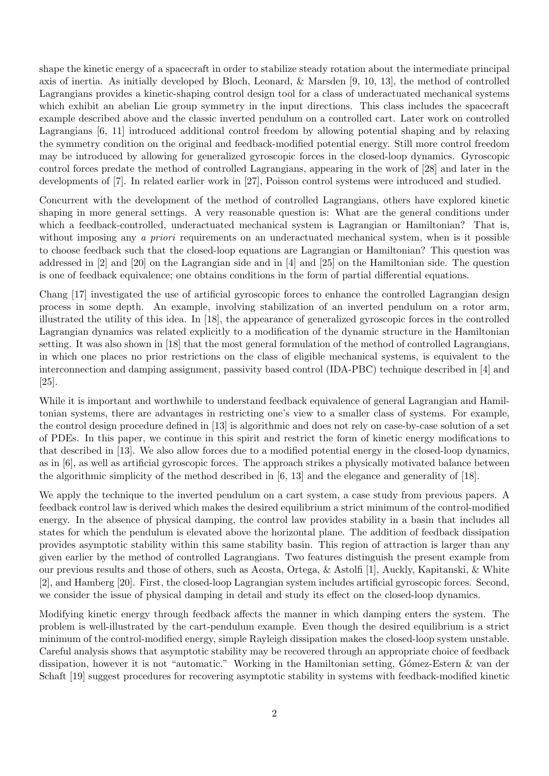shape the kinetic energy of a spacecraft in order to stabilize steady rotation about the intermediate principal axis of inertia. As initially developed by Bloch, Leonard, & Marsden [9, 10, 13], the method of controlled Lagrangians provides a kinetic-shaping control design tool for a class of underactuated mechanical systems which exhibit an abelian Lie group symmetry in the input directions. This class includes the spacecraft example described above and the classic inverted pendulum on a controlled cart. Later work on controlled Lagrangians [6, 11] introduced additional control freedom by allowing potential shaping and by relaxing the symmetry condition on the original and feedback-modified potential energy. Still more control freedom may be introduced by allowing for generalized gyroscopic forces in the closed-loop dynamics. Gyroscopic control forces predate the method of controlled Lagrangians, appearing in the work of [28] and later in the developments of [7]. In related earlier work in [27], Poisson control systems were introduced and studied.

Concurrent with the development of the method of controlled Lagrangians, others have explored kinetic shaping in more general settings. A very reasonable question is: What are the general conditions under which a feedback-controlled, underactuated mechanical system is Lagrangian or Hamiltonian? That is, without imposing any *a priori* requirements on an underactuated mechanical system, when is it possible to choose feedback such that the closed-loop equations are Lagrangian or Hamiltonian? This question was addressed in [2] and [20] on the Lagrangian side and in [4] and [25] on the Hamiltonian side. The question is one of feedback equivalence; one obtains conditions in the form of partial differential equations.

Chang [17] investigated the use of artificial gyroscopic forces to enhance the controlled Lagrangian design process in some depth. An example, involving stabilization of an inverted pendulum on a rotor arm, illustrated the utility of this idea. In [18], the appearance of generalized gyroscopic forces in the controlled Lagrangian dynamics was related explicitly to a modification of the dynamic structure in the Hamiltonian setting. It was also shown in [18] that the most general formulation of the method of controlled Lagrangians, in which one places no prior restrictions on the class of eligible mechanical systems, is equivalent to the interconnection and damping assignment, passivity based control (IDA-PBC) technique described in [4] and [25].

While it is important and worthwhile to understand feedback equivalence of general Lagrangian and Hamiltonian systems, there are advantages in restricting one's view to a smaller class of systems. For example, the control design procedure defined in [13] is algorithmic and does not rely on case-by-case solution of a set of PDEs. In this paper, we continue in this spirit and restrict the form of kinetic energy modifications to that described in [13]. We also allow forces due to a modified potential energy in the closed-loop dynamics, as in [6], as well as artificial gyroscopic forces. The approach strikes a physically motivated balance between the algorithmic simplicity of the method described in [6, 13] and the elegance and generality of [18].

We apply the technique to the inverted pendulum on a cart system, a case study from previous papers. A feedback control law is derived which makes the desired equilibrium a strict minimum of the control-modified energy. In the absence of physical damping, the control law provides stability in a basin that includes all states for which the pendulum is elevated above the horizontal plane. The addition of feedback dissipation provides asymptotic stability within this same stability basin. This region of attraction is larger than any given earlier by the method of controlled Lagrangians. Two features distinguish the present example from our previous results and those of others, such as Acosta, Ortega, & Astolfi [1], Auckly, Kapitanski, & White [2], and Hamberg [20]. First, the closed-loop Lagrangian system includes artificial gyroscopic forces. Second, we consider the issue of physical damping in detail and study its effect on the closed-loop dynamics.

Modifying kinetic energy through feedback affects the manner in which damping enters the system. The problem is well-illustrated by the cart-pendulum example. Even though the desired equilibrium is a strict minimum of the control-modified energy, simple Rayleigh dissipation makes the closed-loop system unstable. Careful analysis shows that asymptotic stability may be recovered through an appropriate choice of feedback dissipation, however it is not "automatic." Working in the Hamiltonian setting, Gómez-Estern & van der Schaft [19] suggest procedures for recovering asymptotic stability in systems with feedback-modified kinetic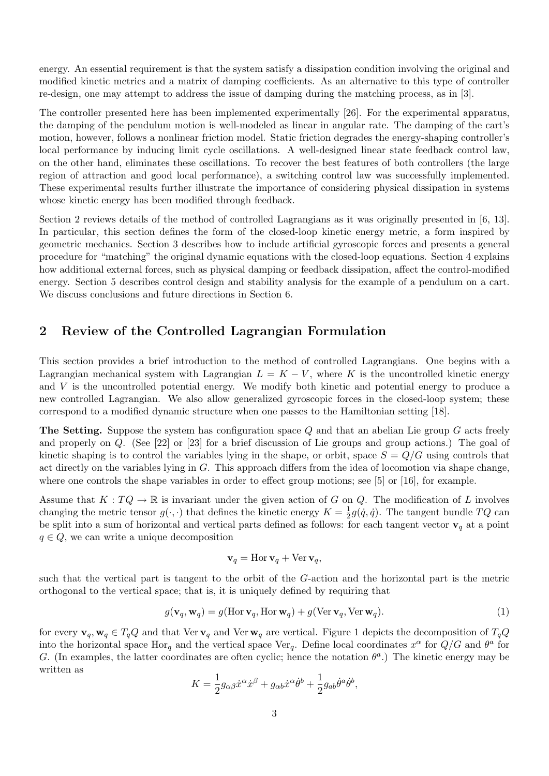energy. An essential requirement is that the system satisfy a dissipation condition involving the original and modified kinetic metrics and a matrix of damping coefficients. As an alternative to this type of controller re-design, one may attempt to address the issue of damping during the matching process, as in [3].

The controller presented here has been implemented experimentally [26]. For the experimental apparatus, the damping of the pendulum motion is well-modeled as linear in angular rate. The damping of the cart's motion, however, follows a nonlinear friction model. Static friction degrades the energy-shaping controller's local performance by inducing limit cycle oscillations. A well-designed linear state feedback control law, on the other hand, eliminates these oscillations. To recover the best features of both controllers (the large region of attraction and good local performance), a switching control law was successfully implemented. These experimental results further illustrate the importance of considering physical dissipation in systems whose kinetic energy has been modified through feedback.

Section 2 reviews details of the method of controlled Lagrangians as it was originally presented in [6, 13]. In particular, this section defines the form of the closed-loop kinetic energy metric, a form inspired by geometric mechanics. Section 3 describes how to include artificial gyroscopic forces and presents a general procedure for "matching" the original dynamic equations with the closed-loop equations. Section 4 explains how additional external forces, such as physical damping or feedback dissipation, affect the control-modified energy. Section 5 describes control design and stability analysis for the example of a pendulum on a cart. We discuss conclusions and future directions in Section 6.

# 2 Review of the Controlled Lagrangian Formulation

This section provides a brief introduction to the method of controlled Lagrangians. One begins with a Lagrangian mechanical system with Lagrangian  $L = K - V$ , where K is the uncontrolled kinetic energy and V is the uncontrolled potential energy. We modify both kinetic and potential energy to produce a new controlled Lagrangian. We also allow generalized gyroscopic forces in the closed-loop system; these correspond to a modified dynamic structure when one passes to the Hamiltonian setting [18].

The Setting. Suppose the system has configuration space Q and that an abelian Lie group G acts freely and properly on Q. (See [22] or [23] for a brief discussion of Lie groups and group actions.) The goal of kinetic shaping is to control the variables lying in the shape, or orbit, space  $S = Q/G$  using controls that act directly on the variables lying in G. This approach differs from the idea of locomotion via shape change, where one controls the shape variables in order to effect group motions; see [5] or [16], for example.

Assume that  $K: TQ \to \mathbb{R}$  is invariant under the given action of G on Q. The modification of L involves changing the metric tensor  $g(\cdot, \cdot)$  that defines the kinetic energy  $K = \frac{1}{2}$  $\frac{1}{2}g(\dot{q}, \dot{q})$ . The tangent bundle  $TQ$  can be split into a sum of horizontal and vertical parts defined as follows: for each tangent vector  $\mathbf{v}_q$  at a point  $q \in Q$ , we can write a unique decomposition

$$
\mathbf{v}_q = \text{Hor}\,\mathbf{v}_q + \text{Ver}\,\mathbf{v}_q,
$$

such that the vertical part is tangent to the orbit of the G-action and the horizontal part is the metric orthogonal to the vertical space; that is, it is uniquely defined by requiring that

$$
g(\mathbf{v}_q, \mathbf{w}_q) = g(\text{Hor } \mathbf{v}_q, \text{Hor } \mathbf{w}_q) + g(\text{Ver } \mathbf{v}_q, \text{Ver } \mathbf{w}_q). \tag{1}
$$

for every  $\mathbf{v}_q, \mathbf{w}_q \in T_qQ$  and that  $\text{Ver } \mathbf{v}_q$  and  $\text{Ver } \mathbf{w}_q$  are vertical. Figure 1 depicts the decomposition of  $T_qQ$ into the horizontal space Hor<sub>q</sub> and the vertical space Ver<sub>q</sub>. Define local coordinates  $x^{\alpha}$  for  $Q/G$  and  $\theta^{a}$  for G. (In examples, the latter coordinates are often cyclic; hence the notation  $\theta^a$ .) The kinetic energy may be written as

$$
K = \frac{1}{2}g_{\alpha\beta}\dot{x}^{\alpha}\dot{x}^{\beta} + g_{\alpha b}\dot{x}^{\alpha}\dot{\theta}^{b} + \frac{1}{2}g_{ab}\dot{\theta}^{a}\dot{\theta}^{b},
$$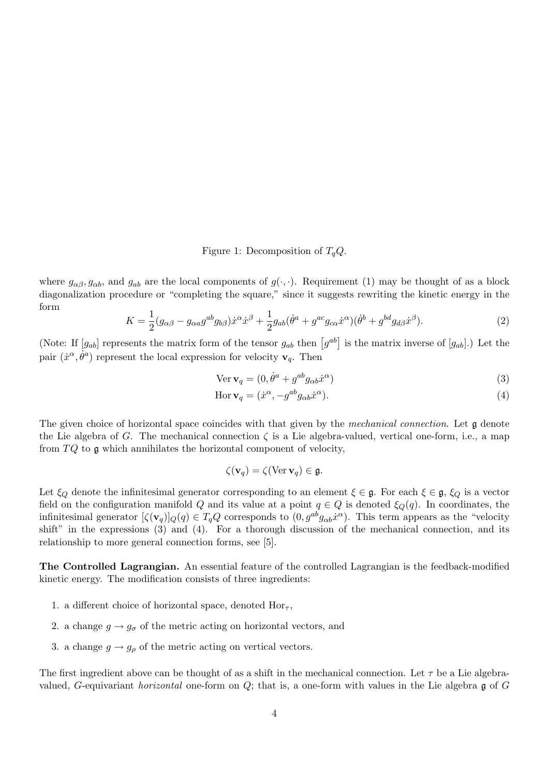#### Figure 1: Decomposition of  $T_qQ$ .

where  $g_{\alpha\beta}, g_{\alpha b}$ , and  $g_{ab}$  are the local components of  $g(\cdot, \cdot)$ . Requirement (1) may be thought of as a block diagonalization procedure or "completing the square," since it suggests rewriting the kinetic energy in the form

$$
K = \frac{1}{2}(g_{\alpha\beta} - g_{\alpha a}g^{ab}g_{b\beta})\dot{x}^{\alpha}\dot{x}^{\beta} + \frac{1}{2}g_{ab}(\dot{\theta}^a + g^{ac}g_{c\alpha}\dot{x}^{\alpha})(\dot{\theta}^b + g^{bd}g_{d\beta}\dot{x}^{\beta}).
$$
\n(2)

(Note: If  $[g_{ab}]$  represents the matrix form of the tensor  $g_{ab}$  then  $[g^{ab}]$  is the matrix inverse of  $[g_{ab}]$ .) Let the pair  $(\dot{x}^{\alpha}, \dot{\theta}^{\dot{a}})$  represent the local expression for velocity  $\mathbf{v}_q$ . Then

$$
\text{Ver}\,\mathbf{v}_q = (0, \dot{\theta}^a + g^{ab}g_{\alpha b}\dot{x}^{\alpha})\tag{3}
$$

$$
\text{Hor } \mathbf{v}_q = (\dot{x}^\alpha, -g^{ab} g_{\alpha b} \dot{x}^\alpha). \tag{4}
$$

The given choice of horizontal space coincides with that given by the mechanical connection. Let  $\mathfrak g$  denote the Lie algebra of G. The mechanical connection  $\zeta$  is a Lie algebra-valued, vertical one-form, i.e., a map from  $TQ$  to  $\mathfrak g$  which annihilates the horizontal component of velocity,

$$
\zeta(\mathbf{v}_q) = \zeta(\text{Ver } \mathbf{v}_q) \in \mathfrak{g}.
$$

Let  $\xi_Q$  denote the infinitesimal generator corresponding to an element  $\xi \in \mathfrak{g}$ . For each  $\xi \in \mathfrak{g}$ ,  $\xi_Q$  is a vector field on the configuration manifold Q and its value at a point  $q \in Q$  is denoted  $\xi_Q(q)$ . In coordinates, the infinitesimal generator  $[\zeta(\mathbf{v}_q)]_Q(q) \in T_qQ$  corresponds to  $(0, g^{ab}g_{\alpha b}\dot{x}^{\alpha})$ . This term appears as the "velocity shift" in the expressions (3) and (4). For a thorough discussion of the mechanical connection, and its relationship to more general connection forms, see [5].

The Controlled Lagrangian. An essential feature of the controlled Lagrangian is the feedback-modified kinetic energy. The modification consists of three ingredients:

- 1. a different choice of horizontal space, denoted  $\text{Hor}_{\tau}$ ,
- 2. a change  $g \to g_{\sigma}$  of the metric acting on horizontal vectors, and
- 3. a change  $g \to g_\rho$  of the metric acting on vertical vectors.

The first ingredient above can be thought of as a shift in the mechanical connection. Let  $\tau$  be a Lie algebravalued, G-equivariant *horizontal* one-form on  $Q$ ; that is, a one-form with values in the Lie algebra  $\mathfrak g$  of  $G$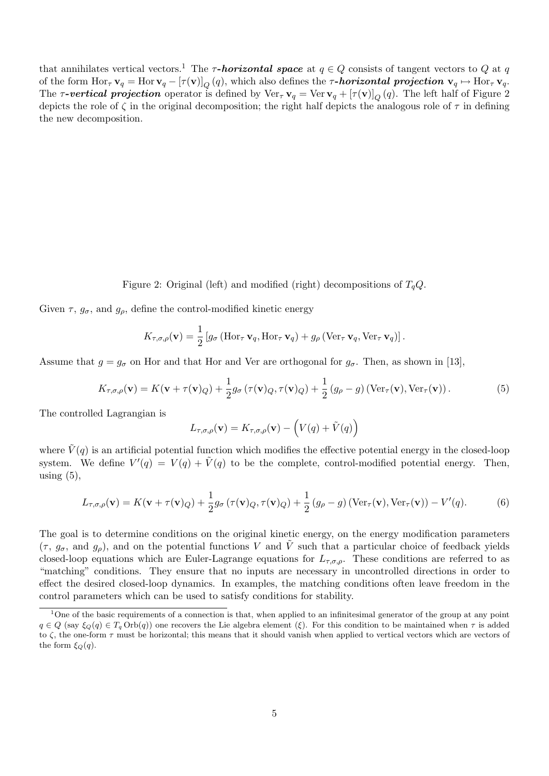that annihilates vertical vectors.<sup>1</sup> The  $\tau$ -**horizontal space** at  $q \in Q$  consists of tangent vectors to Q at q of the form  $\text{Hor}_{\tau} \mathbf{v}_q = \text{Hor}_{\mathbf{v}_q} - [\tau(\mathbf{v})]_Q(q)$ , which also defines the  $\tau$ -*horizontal projection*  $\mathbf{v}_q \mapsto \text{Hor}_{\tau} \mathbf{v}_q$ . The  $\tau$ -vertical projection operator is defined by Ver<sub> $\tau$ </sub> v<sub>q</sub> = Ver v<sub>q</sub> +  $[\tau(v)]_Q(q)$ . The left half of Figure 2 depicts the role of  $\zeta$  in the original decomposition; the right half depicts the analogous role of  $\tau$  in defining the new decomposition.

Figure 2: Original (left) and modified (right) decompositions of  $T_qQ$ .

Given  $\tau$ ,  $g_{\sigma}$ , and  $g_{\rho}$ , define the control-modified kinetic energy

$$
K_{\tau,\sigma,\rho}(\mathbf{v}) = \frac{1}{2} \left[ g_{\sigma} \left( \operatorname{Hor}_{\tau} \mathbf{v}_q, \operatorname{Hor}_{\tau} \mathbf{v}_q \right) + g_{\rho} \left( \operatorname{Ver}_{\tau} \mathbf{v}_q, \operatorname{Ver}_{\tau} \mathbf{v}_q \right) \right].
$$

Assume that  $g = g_{\sigma}$  on Hor and that Hor and Ver are orthogonal for  $g_{\sigma}$ . Then, as shown in [13],

$$
K_{\tau,\sigma,\rho}(\mathbf{v}) = K(\mathbf{v} + \tau(\mathbf{v})_Q) + \frac{1}{2}g_{\sigma}(\tau(\mathbf{v})_Q, \tau(\mathbf{v})_Q) + \frac{1}{2}(g_{\rho} - g)(\text{Ver}_{\tau}(\mathbf{v}), \text{Ver}_{\tau}(\mathbf{v})).
$$
\n(5)

The controlled Lagrangian is

$$
L_{\tau,\sigma,\rho}(\mathbf{v}) = K_{\tau,\sigma,\rho}(\mathbf{v}) - \left(V(q) + \tilde{V}(q)\right)
$$

where  $\tilde{V}(q)$  is an artificial potential function which modifies the effective potential energy in the closed-loop system. We define  $V'(q) = V(q) + \tilde{V}(q)$  to be the complete, control-modified potential energy. Then, using  $(5)$ ,

$$
L_{\tau,\sigma,\rho}(\mathbf{v}) = K(\mathbf{v} + \tau(\mathbf{v})_Q) + \frac{1}{2}g_{\sigma}(\tau(\mathbf{v})_Q, \tau(\mathbf{v})_Q) + \frac{1}{2}(g_{\rho} - g)(\text{Ver}_{\tau}(\mathbf{v}), \text{Ver}_{\tau}(\mathbf{v})) - V'(q).
$$
 (6)

The goal is to determine conditions on the original kinetic energy, on the energy modification parameters  $(\tau, g_{\sigma}, \text{ and } g_{\rho})$ , and on the potential functions V and  $\tilde{V}$  such that a particular choice of feedback yields closed-loop equations which are Euler-Lagrange equations for  $L_{\tau,\sigma,\rho}$ . These conditions are referred to as "matching" conditions. They ensure that no inputs are necessary in uncontrolled directions in order to effect the desired closed-loop dynamics. In examples, the matching conditions often leave freedom in the control parameters which can be used to satisfy conditions for stability.

 $1$ One of the basic requirements of a connection is that, when applied to an infinitesimal generator of the group at any point  $q \in Q$  (say  $\xi_Q(q) \in T_q \text{Orb}(q)$ ) one recovers the Lie algebra element  $(\xi)$ . For this condition to be maintained when  $\tau$  is added to  $\zeta$ , the one-form  $\tau$  must be horizontal; this means that it should vanish when applied to vertical vectors which are vectors of the form  $\xi_Q(q)$ .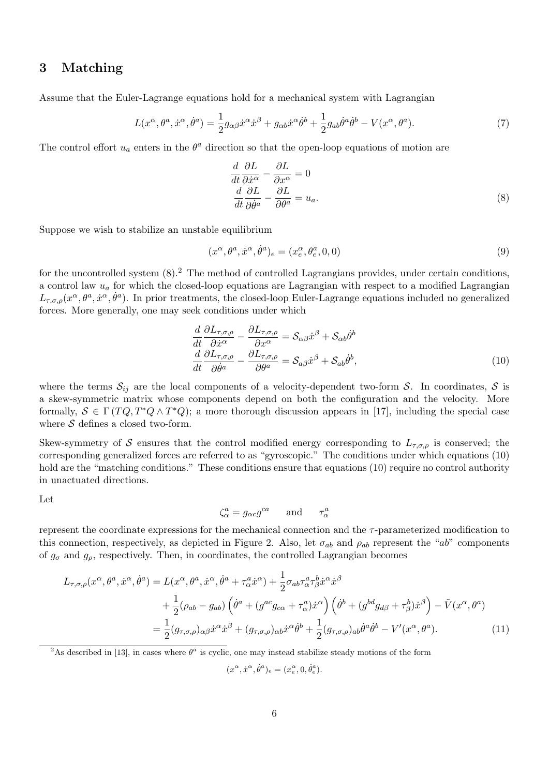### 3 Matching

Assume that the Euler-Lagrange equations hold for a mechanical system with Lagrangian

$$
L(x^{\alpha}, \theta^{a}, \dot{x}^{\alpha}, \dot{\theta}^{a}) = \frac{1}{2} g_{\alpha\beta} \dot{x}^{\alpha} \dot{x}^{\beta} + g_{\alpha b} \dot{x}^{\alpha} \dot{\theta}^{b} + \frac{1}{2} g_{ab} \dot{\theta}^{a} \dot{\theta}^{b} - V(x^{\alpha}, \theta^{a}). \tag{7}
$$

The control effort  $u_a$  enters in the  $\theta^a$  direction so that the open-loop equations of motion are

$$
\frac{d}{dt}\frac{\partial L}{\partial \dot{x}^{\alpha}} - \frac{\partial L}{\partial x^{\alpha}} = 0
$$
\n
$$
\frac{d}{dt}\frac{\partial L}{\partial \dot{\theta}^a} - \frac{\partial L}{\partial \theta^a} = u_a.
$$
\n(8)

Suppose we wish to stabilize an unstable equilibrium

$$
(x^{\alpha}, \theta^{a}, \dot{x}^{\alpha}, \dot{\theta}^{a})_{e} = (x_{e}^{\alpha}, \theta_{e}^{a}, 0, 0)
$$
\n(9)

for the uncontrolled system  $(8)$ .<sup>2</sup> The method of controlled Lagrangians provides, under certain conditions, a control law  $u_a$  for which the closed-loop equations are Lagrangian with respect to a modified Lagrangian  $L_{\tau,\sigma,\rho}(x^{\alpha},\theta^a,\dot{x}^{\alpha},\dot{\theta}^a)$ . In prior treatments, the closed-loop Euler-Lagrange equations included no generalized forces. More generally, one may seek conditions under which

$$
\frac{d}{dt}\frac{\partial L_{\tau,\sigma,\rho}}{\partial \dot{x}^{\alpha}} - \frac{\partial L_{\tau,\sigma,\rho}}{\partial x^{\alpha}} = \mathcal{S}_{\alpha\beta}\dot{x}^{\beta} + \mathcal{S}_{\alpha b}\dot{\theta}^{b}
$$
\n
$$
\frac{d}{dt}\frac{\partial L_{\tau,\sigma,\rho}}{\partial \dot{\theta}^{a}} - \frac{\partial L_{\tau,\sigma,\rho}}{\partial \theta^{a}} = \mathcal{S}_{a\beta}\dot{x}^{\beta} + \mathcal{S}_{ab}\dot{\theta}^{b},\tag{10}
$$

where the terms  $S_{ij}$  are the local components of a velocity-dependent two-form S. In coordinates, S is a skew-symmetric matrix whose components depend on both the configuration and the velocity. More formally,  $S \in \Gamma(TQ, T^*Q \wedge T^*Q)$ ; a more thorough discussion appears in [17], including the special case where  $S$  defines a closed two-form.

Skew-symmetry of S ensures that the control modified energy corresponding to  $L_{\tau,\sigma,\rho}$  is conserved; the corresponding generalized forces are referred to as "gyroscopic." The conditions under which equations (10) hold are the "matching conditions." These conditions ensure that equations (10) require no control authority in unactuated directions.

Let

$$
\zeta^a_\alpha = g_{\alpha c} g^{ca} \quad \text{and} \quad \tau^a_\alpha
$$

represent the coordinate expressions for the mechanical connection and the  $\tau$ -parameterized modification to this connection, respectively, as depicted in Figure 2. Also, let  $\sigma_{ab}$  and  $\rho_{ab}$  represent the "ab" components of  $g_{\sigma}$  and  $g_{\rho}$ , respectively. Then, in coordinates, the controlled Lagrangian becomes

$$
L_{\tau,\sigma,\rho}(x^{\alpha},\theta^{a},\dot{x}^{\alpha},\dot{\theta}^{a}) = L(x^{\alpha},\theta^{a},\dot{x}^{\alpha},\dot{\theta}^{a} + \tau_{\alpha}^{a}\dot{x}^{\alpha}) + \frac{1}{2}\sigma_{ab}\tau_{\alpha}^{a}\tau_{\beta}^{b}\dot{x}^{\alpha}\dot{x}^{\beta} + \frac{1}{2}(\rho_{ab} - g_{ab})\left(\dot{\theta}^{a} + (g^{ac}g_{c\alpha} + \tau_{\alpha}^{a})\dot{x}^{\alpha}\right)\left(\dot{\theta}^{b} + (g^{bd}g_{d\beta} + \tau_{\beta}^{b})\dot{x}^{\beta}\right) - \tilde{V}(x^{\alpha},\theta^{a}) = \frac{1}{2}(g_{\tau,\sigma,\rho})_{\alpha\beta}\dot{x}^{\alpha}\dot{x}^{\beta} + (g_{\tau,\sigma,\rho})_{\alpha b}\dot{x}^{\alpha}\dot{\theta}^{b} + \frac{1}{2}(g_{\tau,\sigma,\rho})_{ab}\dot{\theta}^{a}\dot{\theta}^{b} - V'(x^{\alpha},\theta^{a}).
$$
(11)

<sup>2</sup>As described in [13], in cases where  $\theta^a$  is cyclic, one may instead stabilize steady motions of the form

$$
(x^{\alpha}, \dot{x}^{\alpha}, \dot{\theta}^{a})_{e} = (x^{\alpha}_{e}, 0, \dot{\theta}^{a}_{e}).
$$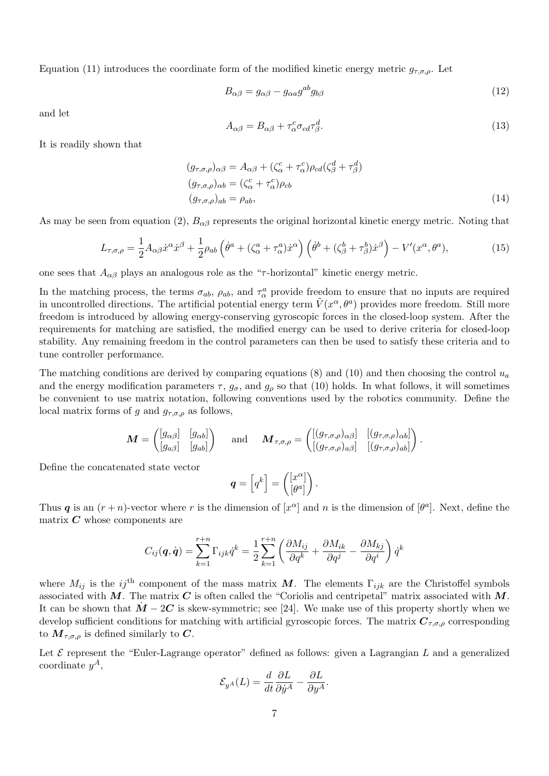Equation (11) introduces the coordinate form of the modified kinetic energy metric  $g_{\tau,\sigma,\rho}$ . Let

$$
B_{\alpha\beta} = g_{\alpha\beta} - g_{\alpha a}g^{ab}g_{b\beta} \tag{12}
$$

and let

$$
A_{\alpha\beta} = B_{\alpha\beta} + \tau^c_{\alpha}\sigma_{cd}\tau^d_{\beta}.
$$
\n(13)

It is readily shown that

$$
(g_{\tau,\sigma,\rho})_{\alpha\beta} = A_{\alpha\beta} + (\zeta_{\alpha}^c + \tau_{\alpha}^c)\rho_{cd}(\zeta_{\beta}^d + \tau_{\beta}^d)
$$
  
\n
$$
(g_{\tau,\sigma,\rho})_{\alpha b} = (\zeta_{\alpha}^c + \tau_{\alpha}^c)\rho_{cb}
$$
  
\n
$$
(g_{\tau,\sigma,\rho})_{ab} = \rho_{ab},
$$
\n(14)

As may be seen from equation (2),  $B_{\alpha\beta}$  represents the original horizontal kinetic energy metric. Noting that

$$
L_{\tau,\sigma,\rho} = \frac{1}{2} A_{\alpha\beta} \dot{x}^{\alpha} \dot{x}^{\beta} + \frac{1}{2} \rho_{ab} \left( \dot{\theta}^a + (\zeta^a_{\alpha} + \tau^a_{\alpha}) \dot{x}^{\alpha} \right) \left( \dot{\theta}^b + (\zeta^b_{\beta} + \tau^b_{\beta}) \dot{x}^{\beta} \right) - V'(x^{\alpha}, \theta^a),\tag{15}
$$

one sees that  $A_{\alpha\beta}$  plays an analogous role as the "*τ*-horizontal" kinetic energy metric.

In the matching process, the terms  $\sigma_{ab}$ ,  $\rho_{ab}$ , and  $\tau_{\alpha}^a$  provide freedom to ensure that no inputs are required in uncontrolled directions. The artificial potential energy term  $\tilde{V}(x^{\alpha}, \theta^a)$  provides more freedom. Still more freedom is introduced by allowing energy-conserving gyroscopic forces in the closed-loop system. After the requirements for matching are satisfied, the modified energy can be used to derive criteria for closed-loop stability. Any remaining freedom in the control parameters can then be used to satisfy these criteria and to tune controller performance.

The matching conditions are derived by comparing equations (8) and (10) and then choosing the control  $u_a$ and the energy modification parameters  $\tau$ ,  $g_{\sigma}$ , and  $g_{\rho}$  so that (10) holds. In what follows, it will sometimes be convenient to use matrix notation, following conventions used by the robotics community. Define the local matrix forms of g and  $g_{\tau,\sigma,\rho}$  as follows,

$$
\boldsymbol{M} = \begin{pmatrix} [g_{\alpha\beta}] & [g_{\alpha b}] \\ [g_{a\beta}] & [g_{ab}] \end{pmatrix} \quad \text{and} \quad \boldsymbol{M}_{\tau,\sigma,\rho} = \begin{pmatrix} [(g_{\tau,\sigma,\rho})_{\alpha\beta}] & [(g_{\tau,\sigma,\rho})_{\alpha b}] \\ [(g_{\tau,\sigma,\rho})_{a\beta}] & [(g_{\tau,\sigma,\rho})_{ab}] \end{pmatrix}.
$$

Define the concatenated state vector

$$
\mathbf{q} = \left[ q^k \right] = \left( \begin{bmatrix} x^{\alpha} \\ \left[ \theta^a \right] \end{bmatrix} \right).
$$

Thus q is an  $(r+n)$ -vector where r is the dimension of  $[x^{\alpha}]$  and n is the dimension of  $[\theta^a]$ . Next, define the matrix  $C$  whose components are

$$
C_{ij}(\boldsymbol{q},\dot{\boldsymbol{q}})=\sum_{k=1}^{r+n}\Gamma_{ijk}\dot{q}^k=\frac{1}{2}\sum_{k=1}^{r+n}\left(\frac{\partial M_{ij}}{\partial q^k}+\frac{\partial M_{ik}}{\partial q^j}-\frac{\partial M_{kj}}{\partial q^i}\right)\dot{q}^k
$$

where  $M_{ij}$  is the ij<sup>th</sup> component of the mass matrix M. The elements  $\Gamma_{ijk}$  are the Christoffel symbols associated with M. The matrix  $C$  is often called the "Coriolis and centripetal" matrix associated with M. It can be shown that  $\dot{M}$  − 2C is skew-symmetric; see [24]. We make use of this property shortly when we develop sufficient conditions for matching with artificial gyroscopic forces. The matrix  $C_{\tau,\sigma,\rho}$  corresponding to  $\mathbf{M}_{\tau,\sigma,\rho}$  is defined similarly to C.

Let  $\mathcal E$  represent the "Euler-Lagrange operator" defined as follows: given a Lagrangian  $L$  and a generalized coordinate  $y^A$ ,

$$
\mathcal{E}_{y^A}(L) = \frac{d}{dt} \frac{\partial L}{\partial \dot{y}^A} - \frac{\partial L}{\partial y^A}.
$$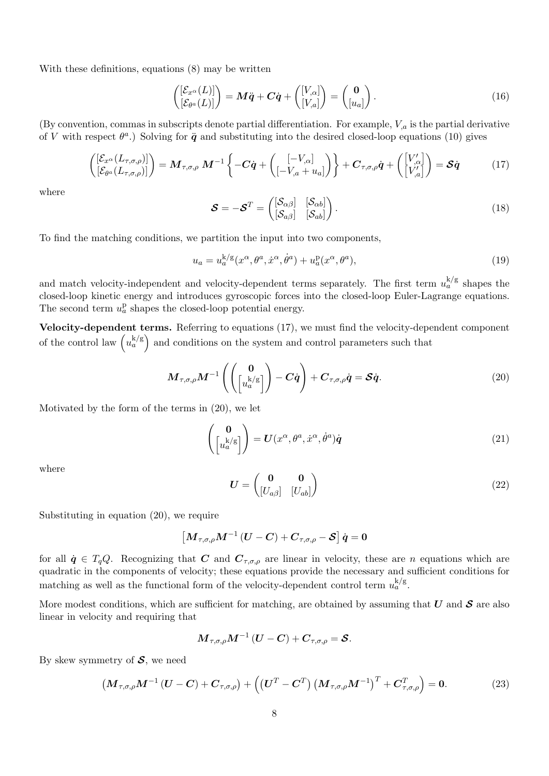With these definitions, equations (8) may be written

$$
\begin{pmatrix} [\mathcal{E}_{x^{\alpha}}(L)] \\ [\mathcal{E}_{\theta^{\alpha}}(L)] \end{pmatrix} = M\ddot{q} + C\dot{q} + \begin{pmatrix} [V_{,\alpha}] \\ [V_{,\alpha}] \end{pmatrix} = \begin{pmatrix} \mathbf{0} \\ [u_{a}] \end{pmatrix}.
$$
\n(16)

(By convention, commas in subscripts denote partial differentiation. For example,  $V_{a}$  is the partial derivative of V with respect  $\theta^a$ .) Solving for  $\ddot{q}$  and substituting into the desired closed-loop equations (10) gives

$$
\begin{pmatrix}\n[\mathcal{E}_{x^{\alpha}}(L_{\tau,\sigma,\rho})]\n\\
[\mathcal{E}_{\theta^{\alpha}}(L_{\tau,\sigma,\rho})]\n\end{pmatrix} = \boldsymbol{M}_{\tau,\sigma,\rho} \boldsymbol{M}^{-1} \left\{ -\boldsymbol{C}\dot{\boldsymbol{q}} + \begin{pmatrix} [-V_{,\alpha}] \[-V_{,\alpha} + u_a] \end{pmatrix} \right\} + \boldsymbol{C}_{\tau,\sigma,\rho}\dot{\boldsymbol{q}} + \begin{pmatrix} [V_{,\alpha}'] \[-V_{,\alpha}]\n\\ [V_{,\alpha}']\n\end{pmatrix} = \boldsymbol{\mathcal{S}}\dot{\boldsymbol{q}} \tag{17}
$$

where

$$
\mathbf{S} = -\mathbf{S}^T = \begin{pmatrix} [\mathcal{S}_{\alpha\beta}] & [\mathcal{S}_{\alpha b}] \\ [\mathcal{S}_{a\beta}] & [\mathcal{S}_{ab}] \end{pmatrix}.
$$
 (18)

To find the matching conditions, we partition the input into two components,

$$
u_a = u_a^{\mathbf{k}/\mathbf{g}}(x^\alpha, \theta^a, \dot{x}^\alpha, \dot{\theta}^a) + u_a^{\mathbf{p}}(x^\alpha, \theta^a), \tag{19}
$$

and match velocity-independent and velocity-dependent terms separately. The first term  $u_a^{k/g}$  shapes the closed-loop kinetic energy and introduces gyroscopic forces into the closed-loop Euler-Lagrange equations. The second term  $u_a^{\mathrm{p}}$  shapes the closed-loop potential energy.

Velocity-dependent terms. Referring to equations (17), we must find the velocity-dependent component of the control law  $\left(u_a^{k/g}\right)$  and conditions on the system and control parameters such that

$$
\boldsymbol{M}_{\tau,\sigma,\rho}\boldsymbol{M}^{-1}\left(\begin{pmatrix} \mathbf{0} \\ \begin{bmatrix} u_a^{k/g} \end{bmatrix} \end{pmatrix} - \boldsymbol{C}\dot{\boldsymbol{q}}\right) + \boldsymbol{C}_{\tau,\sigma,\rho}\dot{\boldsymbol{q}} = \boldsymbol{\mathcal{S}}\dot{\boldsymbol{q}}.\tag{20}
$$

Motivated by the form of the terms in (20), we let

$$
\begin{pmatrix} \mathbf{0} \\ \left[u_a^{k/g}\right] \end{pmatrix} = \mathbf{U}(x^\alpha, \theta^a, \dot{x}^\alpha, \dot{\theta}^a) \dot{\mathbf{q}} \tag{21}
$$

where

$$
\boldsymbol{U} = \begin{pmatrix} \mathbf{0} & \mathbf{0} \\ \begin{bmatrix} U_{a\beta} \end{bmatrix} & \begin{bmatrix} U_{ab} \end{bmatrix} \end{pmatrix} \tag{22}
$$

Substituting in equation (20), we require

$$
\left[ \boldsymbol{M}_{\tau, \sigma, \rho} \boldsymbol{M}^{-1} \left( \boldsymbol{U} - \boldsymbol{C} \right) + \boldsymbol{C}_{\tau, \sigma, \rho} - \boldsymbol{\mathcal{S}} \right] \dot{\boldsymbol{q}} = \boldsymbol{0}
$$

for all  $\dot{q} \in T_qQ$ . Recognizing that C and  $C_{\tau,\sigma,\rho}$  are linear in velocity, these are n equations which are quadratic in the components of velocity; these equations provide the necessary and sufficient conditions for matching as well as the functional form of the velocity-dependent control term  $u_a^{k/g}$ .

More modest conditions, which are sufficient for matching, are obtained by assuming that  $U$  and  $S$  are also linear in velocity and requiring that

$$
\boldsymbol{M}_{\tau, \sigma, \rho} \boldsymbol{M}^{-1} \left( \boldsymbol{U} - \boldsymbol{C} \right) + \boldsymbol{C}_{\tau, \sigma, \rho} = \boldsymbol{\mathcal{S}}.
$$

By skew symmetry of  $\mathcal{S}$ , we need

$$
\left(\boldsymbol{M}_{\tau,\sigma,\rho}\boldsymbol{M}^{-1}\left(\boldsymbol{U}-\boldsymbol{C}\right)+\boldsymbol{C}_{\tau,\sigma,\rho}\right)+\left(\left(\boldsymbol{U}^{T}-\boldsymbol{C}^{T}\right)\left(\boldsymbol{M}_{\tau,\sigma,\rho}\boldsymbol{M}^{-1}\right)^{T}+\boldsymbol{C}_{\tau,\sigma,\rho}^{T}\right)=\boldsymbol{0}.\tag{23}
$$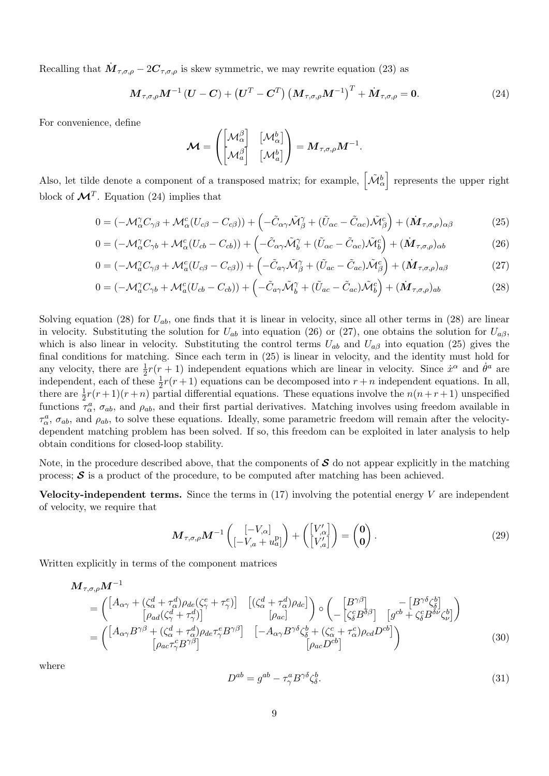Recalling that  $\dot{M}_{\tau,\sigma,\rho} - 2\mathbf{C}_{\tau,\sigma,\rho}$  is skew symmetric, we may rewrite equation (23) as

$$
\boldsymbol{M}_{\tau,\sigma,\rho}\boldsymbol{M}^{-1}\left(\boldsymbol{U}-\boldsymbol{C}\right)+\left(\boldsymbol{U}^{T}-\boldsymbol{C}^{T}\right)\left(\boldsymbol{M}_{\tau,\sigma,\rho}\boldsymbol{M}^{-1}\right)^{T}+\dot{\boldsymbol{M}}_{\tau,\sigma,\rho}=\boldsymbol{0}.\tag{24}
$$

For convenience, define

$$
\mathcal{M} = \begin{pmatrix} \begin{bmatrix} \mathcal{M}_{\alpha}^{\beta} \\ \mathcal{M}_{a}^{\beta} \end{bmatrix} & \begin{bmatrix} \mathcal{M}_{\alpha}^{b} \end{bmatrix} \end{pmatrix} = M_{\tau,\sigma,\rho} M^{-1}.
$$

Also, let tilde denote a component of a transposed matrix; for example,  $\left[\tilde{\mathcal{M}}_{\alpha}^{b}\right]$  represents the upper right block of  $\mathcal{M}^T$ . Equation (24) implies that

$$
0 = \left(-\mathcal{M}_{\alpha}^{\gamma}C_{\gamma\beta} + \mathcal{M}_{\alpha}^{c}(U_{c\beta} - C_{c\beta})\right) + \left(-\tilde{C}_{\alpha\gamma}\tilde{\mathcal{M}}_{\beta}^{\gamma} + (\tilde{U}_{\alpha c} - \tilde{C}_{\alpha c})\tilde{\mathcal{M}}_{\beta}^{c}\right) + (\dot{M}_{\tau,\sigma,\rho})_{\alpha\beta} \tag{25}
$$

$$
0 = \left(-\mathcal{M}_{\alpha}^{\gamma}C_{\gamma b} + \mathcal{M}_{\alpha}^{c}(U_{cb} - C_{cb})\right) + \left(-\tilde{C}_{\alpha\gamma}\tilde{\mathcal{M}}_{b}^{\gamma} + (\tilde{U}_{\alpha c} - \tilde{C}_{\alpha c})\tilde{\mathcal{M}}_{b}^{c}\right) + (\dot{M}_{\tau,\sigma,\rho})_{\alpha b}
$$
(26)

$$
0 = \left(-\mathcal{M}_a^{\gamma} C_{\gamma\beta} + \mathcal{M}_a^c (U_{c\beta} - C_{c\beta})\right) + \left(-\tilde{C}_{a\gamma}\tilde{\mathcal{M}}_{\beta}^{\gamma} + (\tilde{U}_{ac} - \tilde{C}_{ac})\tilde{\mathcal{M}}_{\beta}^c\right) + (\dot{M}_{\tau,\sigma,\rho})_{a\beta} \tag{27}
$$

$$
0 = \left(-\mathcal{M}_a^{\gamma} C_{\gamma b} + \mathcal{M}_a^c (U_{cb} - C_{cb})\right) + \left(-\tilde{C}_{a\gamma}\tilde{\mathcal{M}}_b^{\gamma} + (\tilde{U}_{ac} - \tilde{C}_{ac})\tilde{\mathcal{M}}_b^c\right) + (\dot{M}_{\tau,\sigma,\rho})_{ab}
$$
(28)

Solving equation (28) for  $U_{ab}$ , one finds that it is linear in velocity, since all other terms in (28) are linear in velocity. Substituting the solution for  $U_{ab}$  into equation (26) or (27), one obtains the solution for  $U_{a\beta}$ , which is also linear in velocity. Substituting the control terms  $U_{ab}$  and  $U_{a\beta}$  into equation (25) gives the final conditions for matching. Since each term in (25) is linear in velocity, and the identity must hold for any velocity, there are  $\frac{1}{2}r(r+1)$  independent equations which are linear in velocity. Since  $\dot{x}^{\alpha}$  and  $\dot{\theta}^{a}$  are independent, each of these  $\frac{1}{2}r(r+1)$  equations can be decomposed into  $r+n$  independent equations. In all, there are  $\frac{1}{2}r(r+1)(r+n)$  partial differential equations. These equations involve the  $n(n+r+1)$  unspecified functions  $\tau^a_\alpha$ ,  $\sigma_{ab}$ , and  $\rho_{ab}$ , and their first partial derivatives. Matching involves using freedom available in  $\tau_\alpha^a$ ,  $\sigma_{ab}$ , and  $\rho_{ab}$ , to solve these equations. Ideally, some parametric freedom will remain after the velocitydependent matching problem has been solved. If so, this freedom can be exploited in later analysis to help obtain conditions for closed-loop stability.

Note, in the procedure described above, that the components of  $S$  do not appear explicitly in the matching process;  $\mathcal S$  is a product of the procedure, to be computed after matching has been achieved.

Velocity-independent terms. Since the terms in  $(17)$  involving the potential energy V are independent of velocity, we require that

$$
\boldsymbol{M}_{\tau,\sigma,\rho}\boldsymbol{M}^{-1}\begin{pmatrix} [-V_{,\alpha}] \\ [-V_{,\alpha} + u_{\alpha}^{\mathrm{p}}] \end{pmatrix} + \begin{pmatrix} [V'_{,\alpha} \\ [V'_{,\alpha}] \end{pmatrix} = \begin{pmatrix} \mathbf{0} \\ \mathbf{0} \end{pmatrix}.
$$
\n(29)

Written explicitly in terms of the component matrices

$$
\begin{split} \mathbf{M}_{\tau,\sigma,\rho}\mathbf{M}^{-1} \\ &= \begin{pmatrix} \left[A_{\alpha\gamma} + (\zeta_{\alpha}^{d} + \tau_{\alpha}^{d})\rho_{de}(\zeta_{\gamma}^{e} + \tau_{\gamma}^{e})\right] & \left[ (\zeta_{\alpha}^{d} + \tau_{\alpha}^{d})\rho_{dc} \right] \\ \left[\rho_{ad}(\zeta_{\gamma}^{d} + \tau_{\gamma}^{d})\right] & \left[\rho_{ac}\right] \end{pmatrix} \circ \begin{pmatrix} \left[B^{\gamma\beta}\right] & -\left[B^{\gamma\delta}\zeta_{\delta}^{b}\right] \\ -\left[\zeta_{\delta}^{c}B^{\delta\beta}\right] & \left[g^{cb} + \zeta_{\delta}^{c}B^{\delta\nu}\zeta_{\nu}^{b}\right] \end{pmatrix} \\ &= \begin{pmatrix} \left[A_{\alpha\gamma}B^{\gamma\beta} + (\zeta_{\alpha}^{d} + \tau_{\alpha}^{d})\rho_{de}\tau_{\gamma}^{e}B^{\gamma\beta} \right] & \left[-A_{\alpha\gamma}B^{\gamma\delta}\zeta_{\delta}^{b} + (\zeta_{\alpha}^{c} + \tau_{\alpha}^{c})\rho_{cd}D^{cb}\right] \\ \left[\rho_{ac}D^{cb}\right] & \left[\rho_{ac}D^{cb}\right] \end{pmatrix} \end{split} \tag{30}
$$

where

$$
D^{ab} = g^{ab} - \tau^a_\gamma B^{\gamma\delta} \zeta^b_\delta. \tag{31}
$$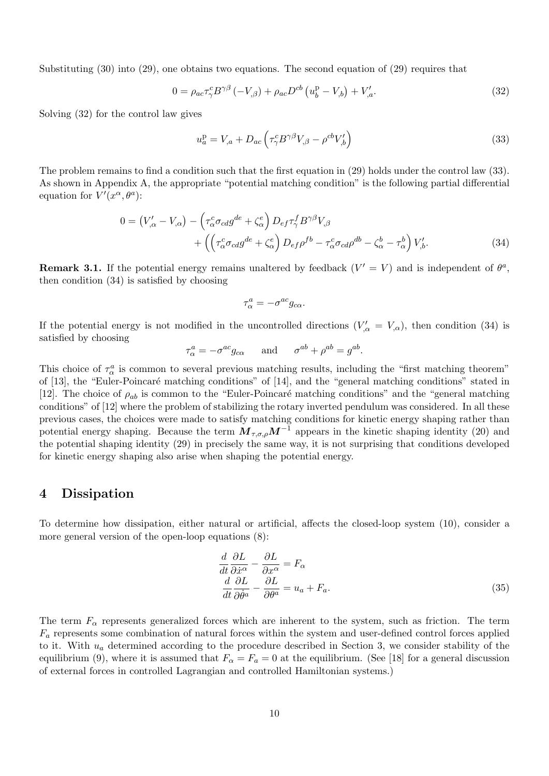Substituting (30) into (29), one obtains two equations. The second equation of (29) requires that

$$
0 = \rho_{ac} \tau_{\gamma}^{c} B^{\gamma \beta} (-V_{,\beta}) + \rho_{ac} D^{cb} (u_{b}^{p} - V_{,b}) + V'_{,a}.
$$
 (32)

Solving (32) for the control law gives

$$
u_a^{\rm p} = V_{,a} + D_{ac} \left( \tau_\gamma^c B^{\gamma \beta} V_{,\beta} - \rho^{cb} V_{,b}' \right) \tag{33}
$$

The problem remains to find a condition such that the first equation in (29) holds under the control law (33). As shown in Appendix A, the appropriate "potential matching condition" is the following partial differential equation for  $V'(x^{\alpha}, \theta^a)$ :

$$
0 = (V'_{,\alpha} - V_{,\alpha}) - \left(\tau^c_{\alpha}\sigma_{cd}g^{de} + \zeta^e_{\alpha}\right)D_{ef}\tau^f_{\gamma}B^{\gamma\beta}V_{,\beta} + \left(\left(\tau^c_{\alpha}\sigma_{cd}g^{de} + \zeta^e_{\alpha}\right)D_{ef}\rho^{fb} - \tau^c_{\alpha}\sigma_{cd}\rho^{db} - \zeta^b_{\alpha} - \tau^b_{\alpha}\right)V'_{,\beta}.
$$
 (34)

**Remark 3.1.** If the potential energy remains unaltered by feedback  $(V' = V)$  and is independent of  $\theta^a$ , then condition (34) is satisfied by choosing

$$
\tau^a_\alpha = - \sigma^{ac} g_{c\alpha}.
$$

If the potential energy is not modified in the uncontrolled directions  $(V'_{,\alpha} = V_{,\alpha})$ , then condition (34) is satisfied by choosing

$$
\tau_\alpha^a = -\sigma^{ac} g_{c\alpha} \quad \text{and} \quad \sigma^{ab} + \rho^{ab} = g^{ab}.
$$

This choice of  $\tau_{\alpha}^{a}$  is common to several previous matching results, including the "first matching theorem" of [13], the "Euler-Poincaré matching conditions" of [14], and the "general matching conditions" stated in [12]. The choice of  $\rho_{ab}$  is common to the "Euler-Poincaré matching conditions" and the "general matching" conditions" of [12] where the problem of stabilizing the rotary inverted pendulum was considered. In all these previous cases, the choices were made to satisfy matching conditions for kinetic energy shaping rather than potential energy shaping. Because the term  $M_{\tau,\sigma,\rho}M^{-1}$  appears in the kinetic shaping identity (20) and the potential shaping identity (29) in precisely the same way, it is not surprising that conditions developed for kinetic energy shaping also arise when shaping the potential energy.

### 4 Dissipation

To determine how dissipation, either natural or artificial, affects the closed-loop system (10), consider a more general version of the open-loop equations (8):

$$
\frac{d}{dt}\frac{\partial L}{\partial \dot{x}^{\alpha}} - \frac{\partial L}{\partial x^{\alpha}} = F_{\alpha}
$$
\n
$$
\frac{d}{dt}\frac{\partial L}{\partial \dot{\theta}^a} - \frac{\partial L}{\partial \theta^a} = u_a + F_a.
$$
\n(35)

The term  $F_{\alpha}$  represents generalized forces which are inherent to the system, such as friction. The term  $F_a$  represents some combination of natural forces within the system and user-defined control forces applied to it. With  $u_a$  determined according to the procedure described in Section 3, we consider stability of the equilibrium (9), where it is assumed that  $F_{\alpha} = F_a = 0$  at the equilibrium. (See [18] for a general discussion of external forces in controlled Lagrangian and controlled Hamiltonian systems.)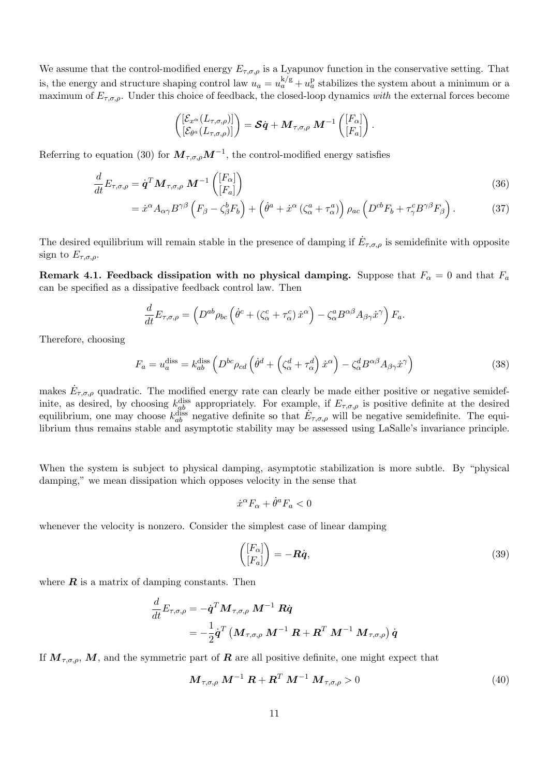We assume that the control-modified energy  $E_{\tau,\sigma,\rho}$  is a Lyapunov function in the conservative setting. That is, the energy and structure shaping control law  $u_a = u_a^{k/g} + u_a^p$  stabilizes the system about a minimum or a maximum of  $E_{\tau,\sigma,\rho}$ . Under this choice of feedback, the closed-loop dynamics with the external forces become

$$
\begin{pmatrix} [\mathcal{E}_{x^{\alpha}}(L_{\tau,\sigma,\rho})] \\ [\mathcal{E}_{\theta^a}(L_{\tau,\sigma,\rho})] \end{pmatrix} = \mathcal{S}\dot{q} + \mathcal{M}_{\tau,\sigma,\rho} \mathcal{M}^{-1} \begin{pmatrix} [F_{\alpha}] \\ [F_{a}] \end{pmatrix}.
$$

Referring to equation (30) for  $\boldsymbol{M}_{\tau,\sigma,\rho} \boldsymbol{M}^{-1}$ , the control-modified energy satisfies

$$
\frac{d}{dt} E_{\tau,\sigma,\rho} = \dot{\mathbf{q}}^T \mathbf{M}_{\tau,\sigma,\rho} \mathbf{M}^{-1} \begin{pmatrix} [F_{\alpha}] \\ [F_{a}] \end{pmatrix}
$$
\n
$$
= \dot{x}^{\alpha} A_{\alpha\gamma} B^{\gamma\beta} \left( F_{\beta} - \zeta_{\beta}^{b} F_{b} \right) + \left( \dot{\theta}^{a} + \dot{x}^{\alpha} \left( \zeta_{\alpha}^{a} + \tau_{\alpha}^{a} \right) \right) \rho_{ac} \left( D^{cb} F_{b} + \tau_{\gamma}^{c} B^{\gamma\beta} F_{\beta} \right). \tag{37}
$$

The desired equilibrium will remain stable in the presence of damping if  $\dot{E}_{\tau,\sigma,\rho}$  is semidefinite with opposite sign to  $E_{\tau,\sigma,\rho}$ .

Remark 4.1. Feedback dissipation with no physical damping. Suppose that  $F_{\alpha} = 0$  and that  $F_{\alpha}$ can be specified as a dissipative feedback control law. Then

$$
\frac{d}{dt}E_{\tau,\sigma,\rho} = \left(D^{ab}\rho_{bc}\left(\dot{\theta}^c + \left(\zeta^c_{\alpha} + \tau^c_{\alpha}\right)\dot{x}^{\alpha}\right) - \zeta^a_{\alpha}B^{\alpha\beta}A_{\beta\gamma}\dot{x}^{\gamma}\right)F_a.
$$

Therefore, choosing

$$
F_a = u_a^{\text{diss}} = k_{ab}^{\text{diss}} \left( D^{bc} \rho_{cd} \left( \dot{\theta}^d + \left( \zeta_\alpha^d + \tau_\alpha^d \right) \dot{x}^\alpha \right) - \zeta_\alpha^d B^{\alpha \beta} A_{\beta \gamma} \dot{x}^\gamma \right) \tag{38}
$$

makes  $\dot{E}_{\tau,\sigma,\rho}$  quadratic. The modified energy rate can clearly be made either positive or negative semidefinite, as desired, by choosing  $k_{ab}^{\text{diss}}$  appropriately. For example, if  $E_{\tau,\sigma,\rho}$  is positive definite at the desired equilibrium, one may choose  $k_{ab}^{diss}$  negative definite so that  $\dot{E}_{\tau,\sigma,\rho}$  will be negative semidefinite. The equilibrium thus remains stable and asymptotic stability may be assessed using LaSalle's invariance principle.

When the system is subject to physical damping, asymptotic stabilization is more subtle. By "physical damping," we mean dissipation which opposes velocity in the sense that

$$
\dot{x}^{\alpha}F_{\alpha} + \dot{\theta}^{a}F_{a} < 0
$$

whenever the velocity is nonzero. Consider the simplest case of linear damping

$$
\begin{pmatrix} [F_{\alpha}] \\ [F_{a}] \end{pmatrix} = -R\dot{q},\tag{39}
$$

where  $\boldsymbol{R}$  is a matrix of damping constants. Then

$$
\begin{aligned} \frac{d}{dt} E_{\tau,\sigma,\rho} &= -\dot{\boldsymbol{q}}^T \boldsymbol{M}_{\tau,\sigma,\rho} \; \boldsymbol{M}^{-1} \; \boldsymbol{R} \dot{\boldsymbol{q}} \\ &= -\frac{1}{2} \dot{\boldsymbol{q}}^T \left( \boldsymbol{M}_{\tau,\sigma,\rho} \; \boldsymbol{M}^{-1} \; \boldsymbol{R} + \boldsymbol{R}^T \; \boldsymbol{M}^{-1} \; \boldsymbol{M}_{\tau,\sigma,\rho} \right) \dot{\boldsymbol{q}} \end{aligned}
$$

If  $M_{\tau,\sigma,o}$ , M, and the symmetric part of **R** are all positive definite, one might expect that

$$
\mathbf{M}_{\tau,\sigma,\rho} \mathbf{M}^{-1} \mathbf{R} + \mathbf{R}^T \mathbf{M}^{-1} \mathbf{M}_{\tau,\sigma,\rho} > 0 \tag{40}
$$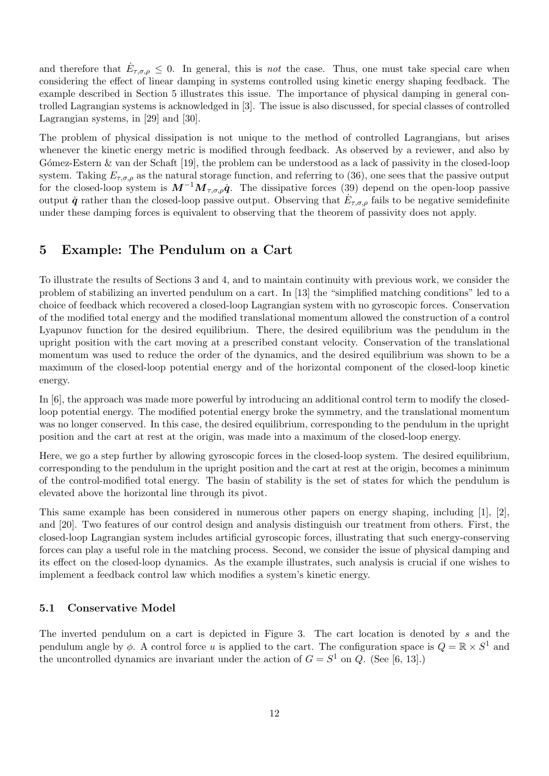and therefore that  $\dot{E}_{\tau,\sigma,\rho} \leq 0$ . In general, this is *not* the case. Thus, one must take special care when considering the effect of linear damping in systems controlled using kinetic energy shaping feedback. The example described in Section 5 illustrates this issue. The importance of physical damping in general controlled Lagrangian systems is acknowledged in [3]. The issue is also discussed, for special classes of controlled Lagrangian systems, in [29] and [30].

The problem of physical dissipation is not unique to the method of controlled Lagrangians, but arises whenever the kinetic energy metric is modified through feedback. As observed by a reviewer, and also by Gómez-Estern  $\&$  van der Schaft [19], the problem can be understood as a lack of passivity in the closed-loop system. Taking  $E_{\tau,\sigma,\rho}$  as the natural storage function, and referring to (36), one sees that the passive output for the closed-loop system is  $M^{-1}M_{\tau,\sigma,\rho}\dot{q}$ . The dissipative forces (39) depend on the open-loop passive output  $\dot{q}$  rather than the closed-loop passive output. Observing that  $\dot{E}_{\tau,\sigma,\rho}$  fails to be negative semidefinite under these damping forces is equivalent to observing that the theorem of passivity does not apply.

## 5 Example: The Pendulum on a Cart

To illustrate the results of Sections 3 and 4, and to maintain continuity with previous work, we consider the problem of stabilizing an inverted pendulum on a cart. In [13] the "simplified matching conditions" led to a choice of feedback which recovered a closed-loop Lagrangian system with no gyroscopic forces. Conservation of the modified total energy and the modified translational momentum allowed the construction of a control Lyapunov function for the desired equilibrium. There, the desired equilibrium was the pendulum in the upright position with the cart moving at a prescribed constant velocity. Conservation of the translational momentum was used to reduce the order of the dynamics, and the desired equilibrium was shown to be a maximum of the closed-loop potential energy and of the horizontal component of the closed-loop kinetic energy.

In [6], the approach was made more powerful by introducing an additional control term to modify the closedloop potential energy. The modified potential energy broke the symmetry, and the translational momentum was no longer conserved. In this case, the desired equilibrium, corresponding to the pendulum in the upright position and the cart at rest at the origin, was made into a maximum of the closed-loop energy.

Here, we go a step further by allowing gyroscopic forces in the closed-loop system. The desired equilibrium, corresponding to the pendulum in the upright position and the cart at rest at the origin, becomes a minimum of the control-modified total energy. The basin of stability is the set of states for which the pendulum is elevated above the horizontal line through its pivot.

This same example has been considered in numerous other papers on energy shaping, including [1], [2], and [20]. Two features of our control design and analysis distinguish our treatment from others. First, the closed-loop Lagrangian system includes artificial gyroscopic forces, illustrating that such energy-conserving forces can play a useful role in the matching process. Second, we consider the issue of physical damping and its effect on the closed-loop dynamics. As the example illustrates, such analysis is crucial if one wishes to implement a feedback control law which modifies a system's kinetic energy.

### 5.1 Conservative Model

The inverted pendulum on a cart is depicted in Figure 3. The cart location is denoted by s and the pendulum angle by  $\phi$ . A control force u is applied to the cart. The configuration space is  $Q = \mathbb{R} \times S^1$  and the uncontrolled dynamics are invariant under the action of  $G = S^1$  on Q. (See [6, 13].)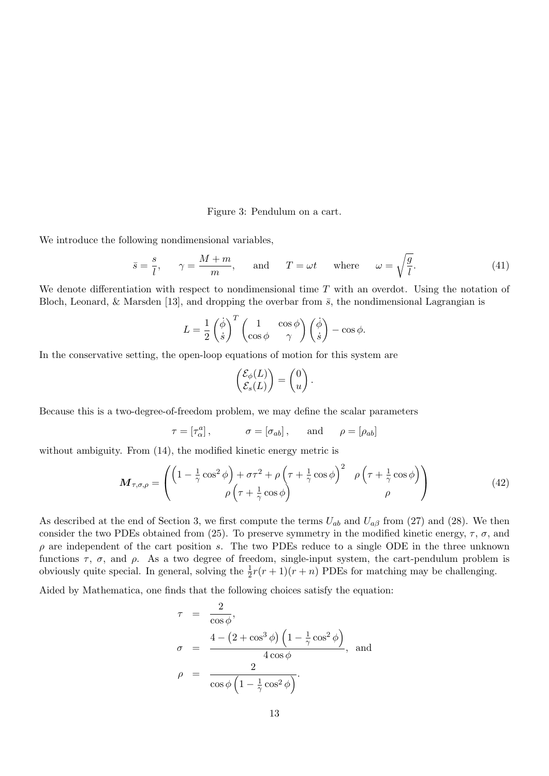Figure 3: Pendulum on a cart.

We introduce the following nondimensional variables,

$$
\bar{s} = \frac{s}{l}, \quad \gamma = \frac{M+m}{m}, \quad \text{and} \quad T = \omega t \quad \text{where} \quad \omega = \sqrt{\frac{g}{l}}.
$$
 (41)

We denote differentiation with respect to nondimensional time  $T$  with an overdot. Using the notation of Bloch, Leonard, & Marsden [13], and dropping the overbar from  $\bar{s}$ , the nondimensional Lagrangian is

$$
L = \frac{1}{2} \begin{pmatrix} \dot{\phi} \\ \dot{s} \end{pmatrix}^T \begin{pmatrix} 1 & \cos \phi \\ \cos \phi & \gamma \end{pmatrix} \begin{pmatrix} \dot{\phi} \\ \dot{s} \end{pmatrix} - \cos \phi.
$$

In the conservative setting, the open-loop equations of motion for this system are

$$
\begin{pmatrix} \mathcal{E}_{\phi}(L) \\ \mathcal{E}_s(L) \end{pmatrix} = \begin{pmatrix} 0 \\ u \end{pmatrix}.
$$

Because this is a two-degree-of-freedom problem, we may define the scalar parameters

$$
\tau = [\tau_\alpha^a], \qquad \sigma = [\sigma_{ab}], \qquad \text{and} \qquad \rho = [\rho_{ab}]
$$

without ambiguity. From  $(14)$ , the modified kinetic energy metric is

$$
\boldsymbol{M}_{\tau,\sigma,\rho} = \begin{pmatrix} \left(1 - \frac{1}{\gamma}\cos^2\phi\right) + \sigma\tau^2 + \rho\left(\tau + \frac{1}{\gamma}\cos\phi\right)^2 & \rho\left(\tau + \frac{1}{\gamma}\cos\phi\right) \\ \rho\left(\tau + \frac{1}{\gamma}\cos\phi\right) & \rho \end{pmatrix}
$$
(42)

As described at the end of Section 3, we first compute the terms  $U_{ab}$  and  $U_{a\beta}$  from (27) and (28). We then consider the two PDEs obtained from (25). To preserve symmetry in the modified kinetic energy,  $\tau$ ,  $\sigma$ , and  $\rho$  are independent of the cart position s. The two PDEs reduce to a single ODE in the three unknown functions  $\tau$ ,  $\sigma$ , and  $\rho$ . As a two degree of freedom, single-input system, the cart-pendulum problem is obviously quite special. In general, solving the  $\frac{1}{2}r(r+1)(r+n)$  PDEs for matching may be challenging.

Aided by Mathematica, one finds that the following choices satisfy the equation:

$$
\tau = \frac{2}{\cos \phi},
$$
  
\n
$$
\sigma = \frac{4 - (2 + \cos^3 \phi) \left(1 - \frac{1}{\gamma} \cos^2 \phi\right)}{4 \cos \phi},
$$
 and  
\n
$$
\rho = \frac{2}{\cos \phi \left(1 - \frac{1}{\gamma} \cos^2 \phi\right)}.
$$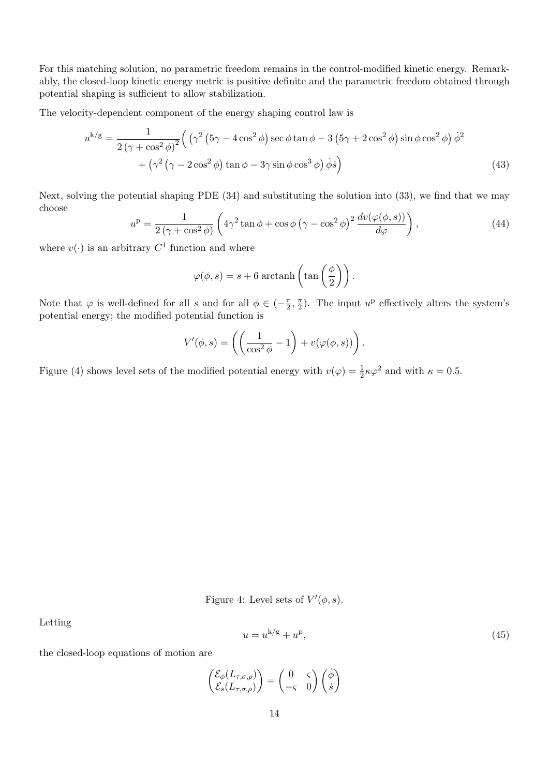For this matching solution, no parametric freedom remains in the control-modified kinetic energy. Remarkably, the closed-loop kinetic energy metric is positive definite and the parametric freedom obtained through potential shaping is sufficient to allow stabilization.

The velocity-dependent component of the energy shaping control law is

$$
u^{k/g} = \frac{1}{2(\gamma + \cos^2 \phi)^2} \left( \left( \gamma^2 (5\gamma - 4\cos^2 \phi) \sec \phi \tan \phi - 3 (5\gamma + 2\cos^2 \phi) \sin \phi \cos^2 \phi \right) \dot{\phi}^2 + \left( \gamma^2 (\gamma - 2\cos^2 \phi) \tan \phi - 3\gamma \sin \phi \cos^3 \phi \right) \dot{\phi} \dot{s} \right)
$$
(43)

Next, solving the potential shaping PDE (34) and substituting the solution into (33), we find that we may choose

$$
u^{\mathbf{p}} = \frac{1}{2\left(\gamma + \cos^2\phi\right)} \left(4\gamma^2 \tan\phi + \cos\phi \left(\gamma - \cos^2\phi\right)^2 \frac{dv(\varphi(\phi, s))}{d\varphi}\right),\tag{44}
$$

where  $v(\cdot)$  is an arbitrary  $C^1$  function and where

$$
\varphi(\phi, s) = s + 6 \arctanh\left(\tan\left(\frac{\phi}{2}\right)\right).
$$

Note that  $\varphi$  is well-defined for all s and for all  $\phi \in \left(-\frac{\pi}{2}\right)$  $\frac{\pi}{2}, \frac{\pi}{2}$  $\frac{\pi}{2}$ ). The input  $u^{\text{p}}$  effectively alters the system's potential energy; the modified potential function is

$$
V'(\phi, s) = \left( \left( \frac{1}{\cos^2 \phi} - 1 \right) + v(\varphi(\phi, s)) \right).
$$

Figure (4) shows level sets of the modified potential energy with  $v(\varphi) = \frac{1}{2}\kappa\varphi^2$  and with  $\kappa = 0.5$ .

Figure 4: Level sets of  $V'(\phi, s)$ .

Letting

$$
u = u^{k/g} + u^p,\tag{45}
$$

the closed-loop equations of motion are

$$
\begin{pmatrix} \mathcal{E}_{\phi}(L_{\tau,\sigma,\rho}) \\ \mathcal{E}_{s}(L_{\tau,\sigma,\rho}) \end{pmatrix} = \begin{pmatrix} 0 & \varsigma \\ -\varsigma & 0 \end{pmatrix} \begin{pmatrix} \dot{\phi} \\ \dot{s} \end{pmatrix}
$$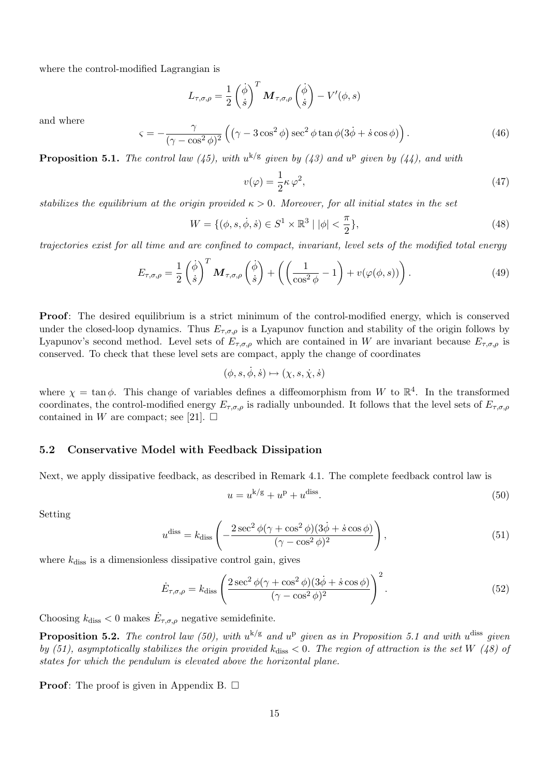where the control-modified Lagrangian is

$$
L_{\tau,\sigma,\rho} = \frac{1}{2} \left( \dot{\phi} \right)^T \mathbf{M}_{\tau,\sigma,\rho} \left( \dot{\phi} \right) - V'(\phi, s)
$$

and where

$$
\varsigma = -\frac{\gamma}{(\gamma - \cos^2 \phi)^2} \left( (\gamma - 3\cos^2 \phi) \sec^2 \phi \tan \phi (3\dot{\phi} + \dot{s} \cos \phi) \right). \tag{46}
$$

**Proposition 5.1.** The control law (45), with  $u^{k/g}$  given by (43) and  $u^{p}$  given by (44), and with

$$
v(\varphi) = \frac{1}{2}\kappa \varphi^2,\tag{47}
$$

stabilizes the equilibrium at the origin provided  $\kappa > 0$ . Moreover, for all initial states in the set

$$
W = \{ (\phi, s, \dot{\phi}, \dot{s}) \in S^1 \times \mathbb{R}^3 \mid |\phi| < \frac{\pi}{2} \},\tag{48}
$$

trajectories exist for all time and are confined to compact, invariant, level sets of the modified total energy

$$
E_{\tau,\sigma,\rho} = \frac{1}{2} \left( \dot{\phi} \right)^T \mathbf{M}_{\tau,\sigma,\rho} \left( \dot{\phi} \right) + \left( \left( \frac{1}{\cos^2 \phi} - 1 \right) + v(\varphi(\phi, s)) \right). \tag{49}
$$

Proof: The desired equilibrium is a strict minimum of the control-modified energy, which is conserved under the closed-loop dynamics. Thus  $E_{\tau,\sigma,\rho}$  is a Lyapunov function and stability of the origin follows by Lyapunov's second method. Level sets of  $E_{\tau,\sigma,\rho}$  which are contained in W are invariant because  $E_{\tau,\sigma,\rho}$  is conserved. To check that these level sets are compact, apply the change of coordinates

$$
(\phi,s,\dot{\phi},\dot{s})\mapsto (\chi,s,\dot{\chi},\dot{s})
$$

where  $\chi = \tan \phi$ . This change of variables defines a diffeomorphism from W to  $\mathbb{R}^4$ . In the transformed coordinates, the control-modified energy  $E_{\tau,\sigma,\rho}$  is radially unbounded. It follows that the level sets of  $E_{\tau,\sigma,\rho}$ contained in W are compact; see [21].  $\Box$ 

### 5.2 Conservative Model with Feedback Dissipation

Next, we apply dissipative feedback, as described in Remark 4.1. The complete feedback control law is

$$
u = u^{k/g} + u^p + u^{\text{diss}}.\t\t(50)
$$

Setting

$$
u^{\text{diss}} = k_{\text{diss}} \left( -\frac{2 \sec^2 \phi (\gamma + \cos^2 \phi)(3\dot{\phi} + \dot{s} \cos \phi)}{(\gamma - \cos^2 \phi)^2} \right),\tag{51}
$$

where  $k_{\text{diss}}$  is a dimensionless dissipative control gain, gives

$$
\dot{E}_{\tau,\sigma,\rho} = k_{\text{diss}} \left( \frac{2 \sec^2 \phi (\gamma + \cos^2 \phi)(3\dot{\phi} + \dot{s} \cos \phi)}{(\gamma - \cos^2 \phi)^2} \right)^2.
$$
\n(52)

Choosing  $k_{\text{diss}} < 0$  makes  $\dot{E}_{\tau,\sigma,\rho}$  negative semidefinite.

**Proposition 5.2.** The control law (50), with  $u^{k/g}$  and  $u^p$  given as in Proposition 5.1 and with  $u^{\text{diss}}$  given by (51), asymptotically stabilizes the origin provided  $k_{\text{diss}} < 0$ . The region of attraction is the set W (48) of states for which the pendulum is elevated above the horizontal plane.

**Proof:** The proof is given in Appendix B.  $\Box$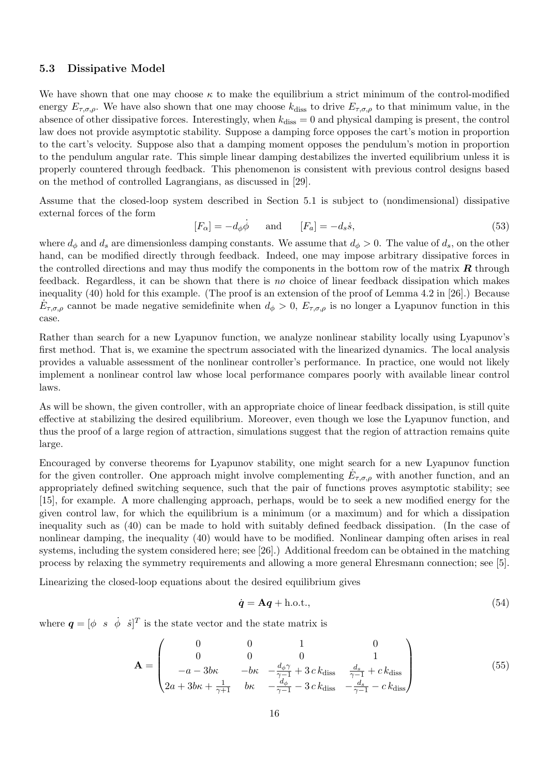#### 5.3 Dissipative Model

We have shown that one may choose  $\kappa$  to make the equilibrium a strict minimum of the control-modified energy  $E_{\tau,\sigma,\rho}$ . We have also shown that one may choose  $k_{\text{diss}}$  to drive  $E_{\tau,\sigma,\rho}$  to that minimum value, in the absence of other dissipative forces. Interestingly, when  $k_{\text{diss}} = 0$  and physical damping is present, the control law does not provide asymptotic stability. Suppose a damping force opposes the cart's motion in proportion to the cart's velocity. Suppose also that a damping moment opposes the pendulum's motion in proportion to the pendulum angular rate. This simple linear damping destabilizes the inverted equilibrium unless it is properly countered through feedback. This phenomenon is consistent with previous control designs based on the method of controlled Lagrangians, as discussed in [29].

Assume that the closed-loop system described in Section 5.1 is subject to (nondimensional) dissipative external forces of the form

$$
[F_{\alpha}] = -d_{\phi}\dot{\phi} \quad \text{and} \quad [F_{a}] = -d_{s}\dot{s}, \tag{53}
$$

where  $d_{\phi}$  and  $d_s$  are dimensionless damping constants. We assume that  $d_{\phi} > 0$ . The value of  $d_s$ , on the other hand, can be modified directly through feedback. Indeed, one may impose arbitrary dissipative forces in the controlled directions and may thus modify the components in the bottom row of the matrix  $\bf{R}$  through feedback. Regardless, it can be shown that there is no choice of linear feedback dissipation which makes inequality (40) hold for this example. (The proof is an extension of the proof of Lemma 4.2 in [26].) Because  $\dot{E}_{\tau,\sigma,\rho}$  cannot be made negative semidefinite when  $d_{\phi} > 0$ ,  $E_{\tau,\sigma,\rho}$  is no longer a Lyapunov function in this case.

Rather than search for a new Lyapunov function, we analyze nonlinear stability locally using Lyapunov's first method. That is, we examine the spectrum associated with the linearized dynamics. The local analysis provides a valuable assessment of the nonlinear controller's performance. In practice, one would not likely implement a nonlinear control law whose local performance compares poorly with available linear control laws.

As will be shown, the given controller, with an appropriate choice of linear feedback dissipation, is still quite effective at stabilizing the desired equilibrium. Moreover, even though we lose the Lyapunov function, and thus the proof of a large region of attraction, simulations suggest that the region of attraction remains quite large.

Encouraged by converse theorems for Lyapunov stability, one might search for a new Lyapunov function for the given controller. One approach might involve complementing  $\dot{E}_{\tau,\sigma,\rho}$  with another function, and an appropriately defined switching sequence, such that the pair of functions proves asymptotic stability; see [15], for example. A more challenging approach, perhaps, would be to seek a new modified energy for the given control law, for which the equilibrium is a minimum (or a maximum) and for which a dissipation inequality such as (40) can be made to hold with suitably defined feedback dissipation. (In the case of nonlinear damping, the inequality (40) would have to be modified. Nonlinear damping often arises in real systems, including the system considered here; see [26].) Additional freedom can be obtained in the matching process by relaxing the symmetry requirements and allowing a more general Ehresmann connection; see [5].

Linearizing the closed-loop equations about the desired equilibrium gives

$$
\dot{\mathbf{q}} = \mathbf{A}\mathbf{q} + \text{h.o.t.},\tag{54}
$$

where  $\mathbf{q} = [\phi \quad s \quad \dot{\phi} \quad s]^T$  is the state vector and the state matrix is

$$
\mathbf{A} = \begin{pmatrix} 0 & 0 & 1 & 0 \\ 0 & 0 & 0 & 1 \\ -a - 3b\kappa & -b\kappa & -\frac{d_{\phi}\gamma}{\gamma - 1} + 3c k_{\text{diss}} & \frac{d_{s}}{\gamma - 1} + c k_{\text{diss}} \\ 2a + 3b\kappa + \frac{1}{\gamma + 1} & b\kappa & -\frac{d_{\phi}}{\gamma - 1} - 3c k_{\text{diss}} & -\frac{d_{s}}{\gamma - 1} - c k_{\text{diss}} \end{pmatrix}
$$
(55)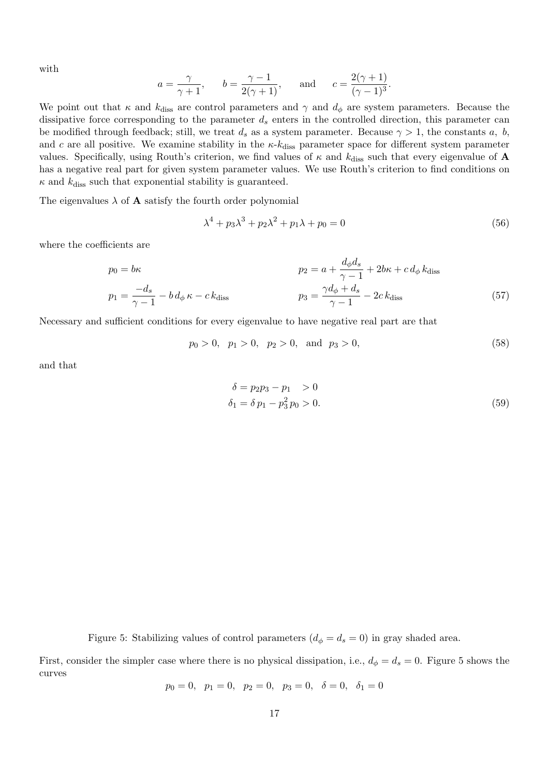with

$$
a = \frac{\gamma}{\gamma + 1}
$$
,  $b = \frac{\gamma - 1}{2(\gamma + 1)}$ , and  $c = \frac{2(\gamma + 1)}{(\gamma - 1)^3}$ .

We point out that  $\kappa$  and  $k_{\text{diss}}$  are control parameters and  $\gamma$  and  $d_{\phi}$  are system parameters. Because the dissipative force corresponding to the parameter  $d_s$  enters in the controlled direction, this parameter can be modified through feedback; still, we treat  $d_s$  as a system parameter. Because  $\gamma > 1$ , the constants a, b, and c are all positive. We examine stability in the  $\kappa$ - $k$ <sub>diss</sub> parameter space for different system parameter values. Specifically, using Routh's criterion, we find values of  $\kappa$  and  $k_{\text{diss}}$  such that every eigenvalue of A has a negative real part for given system parameter values. We use Routh's criterion to find conditions on  $\kappa$  and  $k_{\text{diss}}$  such that exponential stability is guaranteed.

The eigenvalues  $\lambda$  of **A** satisfy the fourth order polynomial

$$
\lambda^4 + p_3 \lambda^3 + p_2 \lambda^2 + p_1 \lambda + p_0 = 0 \tag{56}
$$

where the coefficients are

$$
p_0 = b\kappa
$$
  
\n
$$
p_1 = \frac{-d_s}{\gamma - 1} - b \, d_\phi \, \kappa - c \, k_{\text{diss}}
$$
  
\n
$$
p_2 = a + \frac{d_\phi d_s}{\gamma - 1} + 2b\kappa + c \, d_\phi \, k_{\text{diss}}
$$
  
\n
$$
p_3 = \frac{\gamma d_\phi + d_s}{\gamma - 1} - 2c \, k_{\text{diss}}
$$
\n(57)

Necessary and sufficient conditions for every eigenvalue to have negative real part are that

$$
p_0 > 0
$$
,  $p_1 > 0$ ,  $p_2 > 0$ , and  $p_3 > 0$ , 
$$
(58)
$$

and that

$$
\delta = p_2 p_3 - p_1 > 0
$$
  
\n
$$
\delta_1 = \delta p_1 - p_3^2 p_0 > 0.
$$
\n(59)

Figure 5: Stabilizing values of control parameters  $(d_{\phi} = d_s = 0)$  in gray shaded area.

First, consider the simpler case where there is no physical dissipation, i.e.,  $d_{\phi} = d_s = 0$ . Figure 5 shows the curves

$$
p_0 = 0
$$
,  $p_1 = 0$ ,  $p_2 = 0$ ,  $p_3 = 0$ ,  $\delta = 0$ ,  $\delta_1 = 0$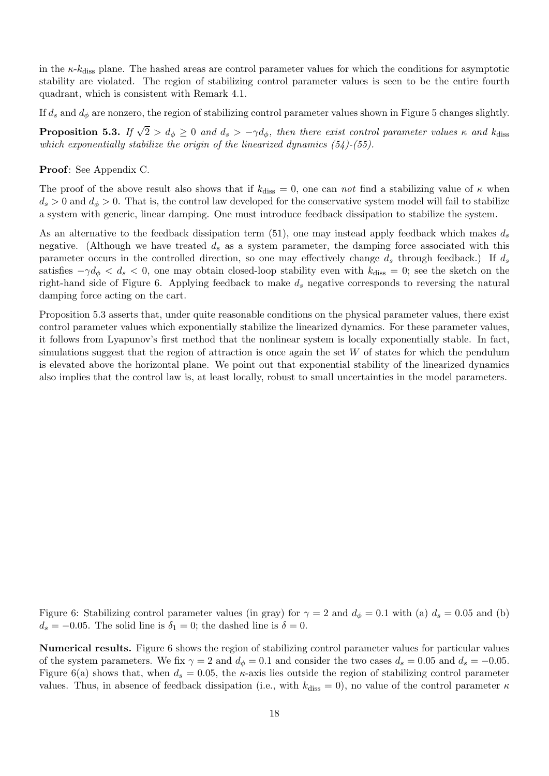in the  $\kappa$ - $k_{\text{diss}}$  plane. The hashed areas are control parameter values for which the conditions for asymptotic stability are violated. The region of stabilizing control parameter values is seen to be the entire fourth quadrant, which is consistent with Remark 4.1.

If  $d_s$  and  $d_\phi$  are nonzero, the region of stabilizing control parameter values shown in Figure 5 changes slightly.

**Proposition 5.3.** If  $\sqrt{2} > d_{\phi} \ge 0$  and  $d_s > -\gamma d_{\phi}$ , then there exist control parameter values  $\kappa$  and  $k_{\text{diss}}$ which exponentially stabilize the origin of the linearized dynamics  $(54)-(55)$ .

#### Proof: See Appendix C.

The proof of the above result also shows that if  $k_{\text{diss}} = 0$ , one can not find a stabilizing value of  $\kappa$  when  $d_s > 0$  and  $d_{\phi} > 0$ . That is, the control law developed for the conservative system model will fail to stabilize a system with generic, linear damping. One must introduce feedback dissipation to stabilize the system.

As an alternative to the feedback dissipation term (51), one may instead apply feedback which makes  $d_s$ negative. (Although we have treated  $d_s$  as a system parameter, the damping force associated with this parameter occurs in the controlled direction, so one may effectively change  $d_s$  through feedback.) If  $d_s$ satisfies  $-\gamma d_{\phi} < d_{s} < 0$ , one may obtain closed-loop stability even with  $k_{\text{diss}} = 0$ ; see the sketch on the right-hand side of Figure 6. Applying feedback to make  $d_s$  negative corresponds to reversing the natural damping force acting on the cart.

Proposition 5.3 asserts that, under quite reasonable conditions on the physical parameter values, there exist control parameter values which exponentially stabilize the linearized dynamics. For these parameter values, it follows from Lyapunov's first method that the nonlinear system is locally exponentially stable. In fact, simulations suggest that the region of attraction is once again the set  $W$  of states for which the pendulum is elevated above the horizontal plane. We point out that exponential stability of the linearized dynamics also implies that the control law is, at least locally, robust to small uncertainties in the model parameters.

Figure 6: Stabilizing control parameter values (in gray) for  $\gamma = 2$  and  $d_{\phi} = 0.1$  with (a)  $d_s = 0.05$  and (b)  $d_s = -0.05$ . The solid line is  $\delta_1 = 0$ ; the dashed line is  $\delta = 0$ .

Numerical results. Figure 6 shows the region of stabilizing control parameter values for particular values of the system parameters. We fix  $\gamma = 2$  and  $d_{\phi} = 0.1$  and consider the two cases  $d_s = 0.05$  and  $d_s = -0.05$ . Figure 6(a) shows that, when  $d_s = 0.05$ , the *k*-axis lies outside the region of stabilizing control parameter values. Thus, in absence of feedback dissipation (i.e., with  $k_{\text{diss}} = 0$ ), no value of the control parameter  $\kappa$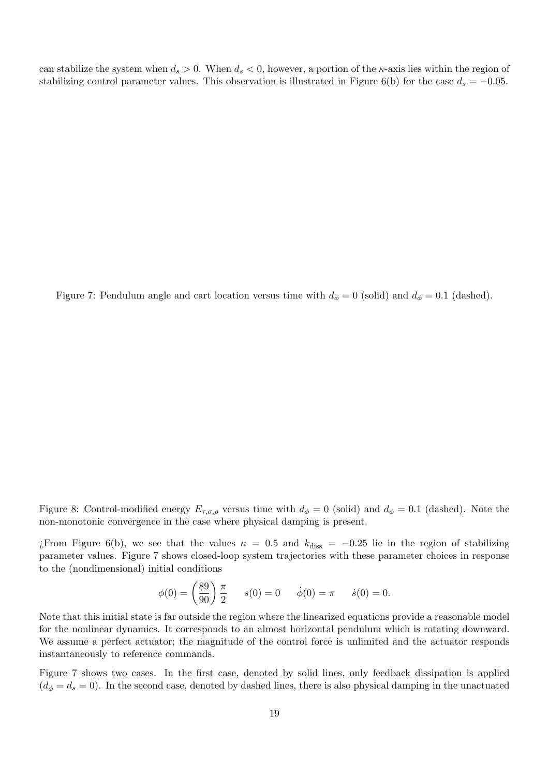can stabilize the system when  $d_s > 0$ . When  $d_s < 0$ , however, a portion of the  $\kappa$ -axis lies within the region of stabilizing control parameter values. This observation is illustrated in Figure 6(b) for the case  $d_s = -0.05$ .

Figure 7: Pendulum angle and cart location versus time with  $d_{\phi} = 0$  (solid) and  $d_{\phi} = 0.1$  (dashed).

Figure 8: Control-modified energy  $E_{\tau,\sigma,\rho}$  versus time with  $d_{\phi} = 0$  (solid) and  $d_{\phi} = 0.1$  (dashed). Note the non-monotonic convergence in the case where physical damping is present.

¿From Figure 6(b), we see that the values  $\kappa = 0.5$  and  $k_{\text{diss}} = -0.25$  lie in the region of stabilizing parameter values. Figure 7 shows closed-loop system trajectories with these parameter choices in response to the (nondimensional) initial conditions

$$
\phi(0) = \left(\frac{89}{90}\right)\frac{\pi}{2} \qquad s(0) = 0 \qquad \dot{\phi}(0) = \pi \qquad \dot{s}(0) = 0.
$$

Note that this initial state is far outside the region where the linearized equations provide a reasonable model for the nonlinear dynamics. It corresponds to an almost horizontal pendulum which is rotating downward. We assume a perfect actuator; the magnitude of the control force is unlimited and the actuator responds instantaneously to reference commands.

Figure 7 shows two cases. In the first case, denoted by solid lines, only feedback dissipation is applied  $(d_{\phi} = d_s = 0)$ . In the second case, denoted by dashed lines, there is also physical damping in the unactuated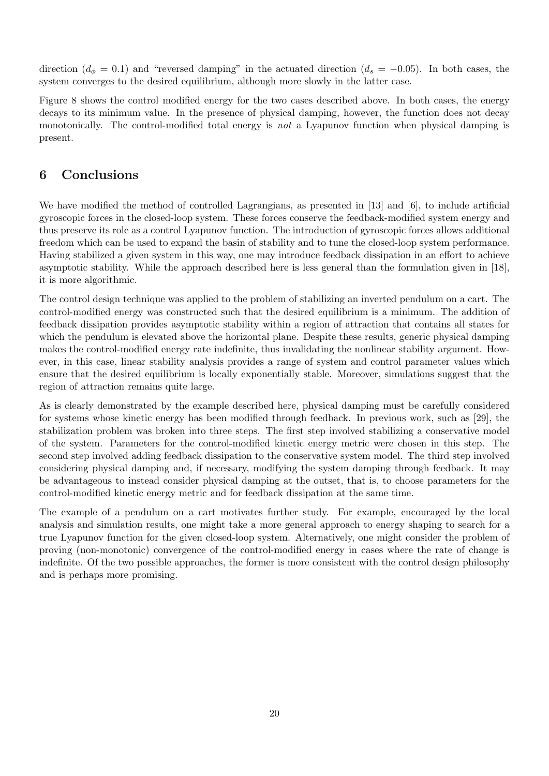direction ( $d_{\phi} = 0.1$ ) and "reversed damping" in the actuated direction ( $d_s = -0.05$ ). In both cases, the system converges to the desired equilibrium, although more slowly in the latter case.

Figure 8 shows the control modified energy for the two cases described above. In both cases, the energy decays to its minimum value. In the presence of physical damping, however, the function does not decay monotonically. The control-modified total energy is not a Lyapunov function when physical damping is present.

# 6 Conclusions

We have modified the method of controlled Lagrangians, as presented in [13] and [6], to include artificial gyroscopic forces in the closed-loop system. These forces conserve the feedback-modified system energy and thus preserve its role as a control Lyapunov function. The introduction of gyroscopic forces allows additional freedom which can be used to expand the basin of stability and to tune the closed-loop system performance. Having stabilized a given system in this way, one may introduce feedback dissipation in an effort to achieve asymptotic stability. While the approach described here is less general than the formulation given in [18], it is more algorithmic.

The control design technique was applied to the problem of stabilizing an inverted pendulum on a cart. The control-modified energy was constructed such that the desired equilibrium is a minimum. The addition of feedback dissipation provides asymptotic stability within a region of attraction that contains all states for which the pendulum is elevated above the horizontal plane. Despite these results, generic physical damping makes the control-modified energy rate indefinite, thus invalidating the nonlinear stability argument. However, in this case, linear stability analysis provides a range of system and control parameter values which ensure that the desired equilibrium is locally exponentially stable. Moreover, simulations suggest that the region of attraction remains quite large.

As is clearly demonstrated by the example described here, physical damping must be carefully considered for systems whose kinetic energy has been modified through feedback. In previous work, such as [29], the stabilization problem was broken into three steps. The first step involved stabilizing a conservative model of the system. Parameters for the control-modified kinetic energy metric were chosen in this step. The second step involved adding feedback dissipation to the conservative system model. The third step involved considering physical damping and, if necessary, modifying the system damping through feedback. It may be advantageous to instead consider physical damping at the outset, that is, to choose parameters for the control-modified kinetic energy metric and for feedback dissipation at the same time.

The example of a pendulum on a cart motivates further study. For example, encouraged by the local analysis and simulation results, one might take a more general approach to energy shaping to search for a true Lyapunov function for the given closed-loop system. Alternatively, one might consider the problem of proving (non-monotonic) convergence of the control-modified energy in cases where the rate of change is indefinite. Of the two possible approaches, the former is more consistent with the control design philosophy and is perhaps more promising.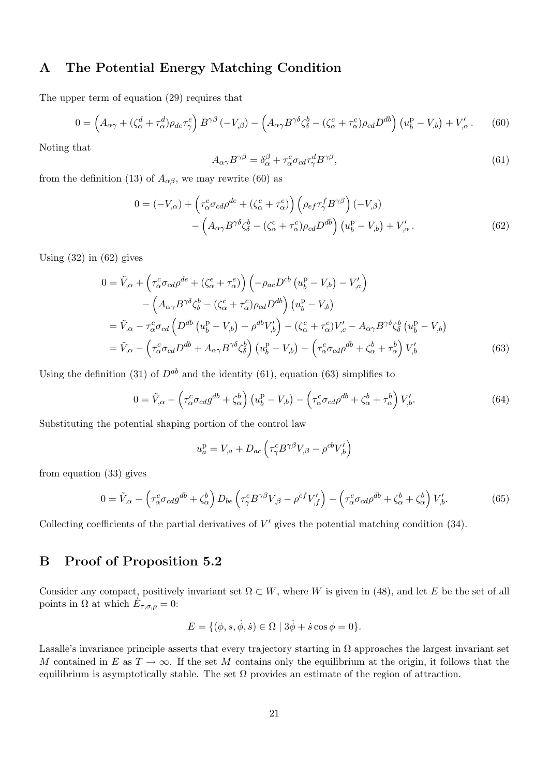## A The Potential Energy Matching Condition

The upper term of equation (29) requires that

$$
0 = \left(A_{\alpha\gamma} + (\zeta_{\alpha}^d + \tau_{\alpha}^d)\rho_{de}\tau_{\gamma}^e\right)B^{\gamma\beta}(-V_{,\beta}) - \left(A_{\alpha\gamma}B^{\gamma\delta}\zeta_{\delta}^b - (\zeta_{\alpha}^c + \tau_{\alpha}^c)\rho_{cd}D^{db}\right)(u_b^p - V_{,b}) + V'_{,\alpha}.
$$
 (60)

Noting that

$$
A_{\alpha\gamma}B^{\gamma\beta} = \delta^{\beta}_{\alpha} + \tau^{c}_{\alpha}\sigma_{cd}\tau^{d}_{\gamma}B^{\gamma\beta},\tag{61}
$$

from the definition (13) of  $A_{\alpha\beta}$ , we may rewrite (60) as

$$
0 = (-V_{,\alpha}) + \left(\tau_{\alpha}^c \sigma_{cd} \rho^{de} + (\zeta_{\alpha}^e + \tau_{\alpha}^e) \right) \left(\rho_{ef} \tau_{\gamma}^f B^{\gamma \beta}\right) (-V_{,\beta}) - \left(A_{\alpha \gamma} B^{\gamma \delta} \zeta_{\delta}^b - (\zeta_{\alpha}^c + \tau_{\alpha}^c) \rho_{cd} D^{db}\right) \left(u_b^p - V_{,\phi}\right) + V_{,\alpha}^{\prime}.
$$
 (62)

Using  $(32)$  in  $(62)$  gives

$$
0 = \tilde{V}_{,\alpha} + \left(\tau_{\alpha}^{c}\sigma_{cd}\rho^{de} + (\zeta_{\alpha}^{e} + \tau_{\alpha}^{e})\right)\left(-\rho_{ac}D^{cb}\left(u_{b}^{p} - V_{,b}\right) - V'_{,a}\right) - \left(A_{\alpha\gamma}B^{\gamma\delta}\zeta_{\delta}^{b} - (\zeta_{\alpha}^{c} + \tau_{\alpha}^{c})\rho_{cd}D^{db}\right)\left(u_{b}^{p} - V_{,b}\right) = \tilde{V}_{,\alpha} - \tau_{\alpha}^{c}\sigma_{cd}\left(D^{db}\left(u_{b}^{p} - V_{,b}\right) - \rho^{db}V'_{,b}\right) - (\zeta_{\alpha}^{c} + \tau_{\alpha}^{c})V'_{,c} - A_{\alpha\gamma}B^{\gamma\delta}\zeta_{\delta}^{b}\left(u_{b}^{p} - V_{,b}\right) = \tilde{V}_{,\alpha} - \left(\tau_{\alpha}^{c}\sigma_{cd}D^{db} + A_{\alpha\gamma}B^{\gamma\delta}\zeta_{\delta}^{b}\right)\left(u_{b}^{p} - V_{,b}\right) - \left(\tau_{\alpha}^{c}\sigma_{cd}\rho^{db} + \zeta_{\alpha}^{b} + \tau_{\alpha}^{b}\right)V'_{,b}
$$
(63)

Using the definition (31) of  $D^{ab}$  and the identity (61), equation (63) simplifies to

$$
0 = \tilde{V}_{,\alpha} - \left(\tau_{\alpha}^c \sigma_{cd} g^{db} + \zeta_{\alpha}^b\right) \left(u_b^{\mathrm{p}} - V_{,b}\right) - \left(\tau_{\alpha}^c \sigma_{cd} \rho^{db} + \zeta_{\alpha}^b + \tau_{\alpha}^b\right) V_{,b}'.\tag{64}
$$

Substituting the potential shaping portion of the control law

$$
u_a^{\rm p} = V_{,a} + D_{ac} \left( \tau_\gamma^c B^{\gamma\beta} V_{,\beta} - \rho^{cb} V_{,b}' \right)
$$

from equation (33) gives

$$
0 = \tilde{V}_{,\alpha} - \left(\tau_{\alpha}^c \sigma_{cd} g^{db} + \zeta_{\alpha}^b\right) D_{be} \left(\tau_{\gamma}^e B^{\gamma \beta} V_{,\beta} - \rho^{ef} V_{,f}'\right) - \left(\tau_{\alpha}^c \sigma_{cd} \rho^{db} + \zeta_{\alpha}^b + \zeta_{\alpha}^b\right) V_{,b}'.\tag{65}
$$

Collecting coefficients of the partial derivatives of  $V'$  gives the potential matching condition (34).

## B Proof of Proposition 5.2

Consider any compact, positively invariant set  $\Omega \subset W$ , where W is given in (48), and let E be the set of all points in  $\Omega$  at which  $\dot{E}_{\tau,\sigma,\rho} = 0$ :

$$
E = \{(\phi, s, \dot{\phi}, \dot{s}) \in \Omega \mid 3\dot{\phi} + \dot{s}\cos\phi = 0\}.
$$

Lasalle's invariance principle asserts that every trajectory starting in  $\Omega$  approaches the largest invariant set M contained in E as  $T \to \infty$ . If the set M contains only the equilibrium at the origin, it follows that the equilibrium is asymptotically stable. The set  $\Omega$  provides an estimate of the region of attraction.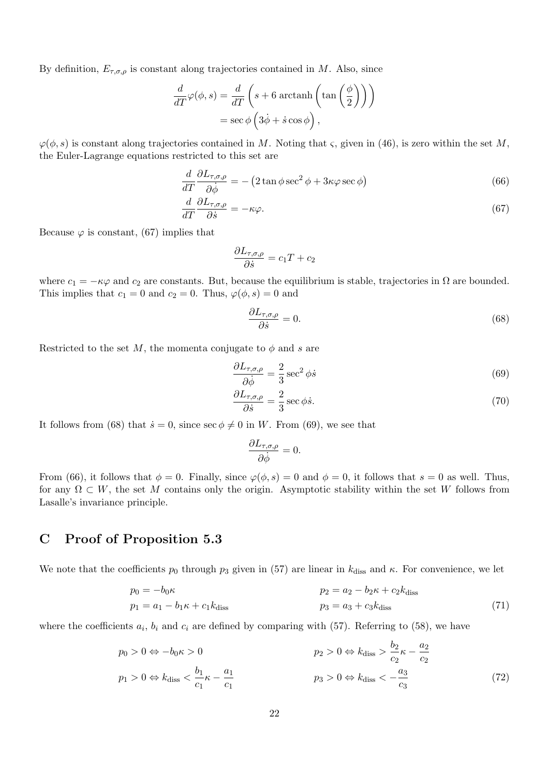By definition,  $E_{\tau,\sigma,\rho}$  is constant along trajectories contained in M. Also, since

$$
\frac{d}{dT}\varphi(\phi, s) = \frac{d}{dT}\left(s + 6 \arctanh\left(\tan\left(\frac{\phi}{2}\right)\right)\right)
$$

$$
= \sec \phi \left(3\dot{\phi} + \dot{s}\cos\phi\right),
$$

 $\varphi(\phi, s)$  is constant along trajectories contained in M. Noting that  $\varsigma$ , given in (46), is zero within the set M, the Euler-Lagrange equations restricted to this set are

$$
\frac{d}{dT}\frac{\partial L_{\tau,\sigma,\rho}}{\partial \dot{\phi}} = -\left(2\tan\phi\sec^2\phi + 3\kappa\varphi\sec\phi\right)
$$
\n(66)

$$
\frac{d}{dT}\frac{\partial L_{\tau,\sigma,\rho}}{\partial \dot{s}} = -\kappa\varphi.\tag{67}
$$

Because  $\varphi$  is constant, (67) implies that

$$
\frac{\partial L_{\tau,\sigma,\rho}}{\partial \dot{s}} = c_1 T + c_2
$$

where  $c_1 = -\kappa \varphi$  and  $c_2$  are constants. But, because the equilibrium is stable, trajectories in  $\Omega$  are bounded. This implies that  $c_1 = 0$  and  $c_2 = 0$ . Thus,  $\varphi(\phi, s) = 0$  and

$$
\frac{\partial L_{\tau,\sigma,\rho}}{\partial \dot{s}} = 0. \tag{68}
$$

Restricted to the set M, the momenta conjugate to  $\phi$  and s are

$$
\frac{\partial L_{\tau,\sigma,\rho}}{\partial \dot{\phi}} = \frac{2}{3} \sec^2 \phi \dot{s}
$$
 (69)

$$
\frac{\partial L_{\tau,\sigma,\rho}}{\partial \dot{s}} = \frac{2}{3} \sec \phi \dot{s}.\tag{70}
$$

It follows from (68) that  $\dot{s} = 0$ , since  $\sec \phi \neq 0$  in W. From (69), we see that

$$
\frac{\partial L_{\tau,\sigma,\rho}}{\partial \dot{\phi}} = 0.
$$

From (66), it follows that  $\phi = 0$ . Finally, since  $\varphi(\phi, s) = 0$  and  $\phi = 0$ , it follows that  $s = 0$  as well. Thus, for any  $\Omega \subset W$ , the set M contains only the origin. Asymptotic stability within the set W follows from Lasalle's invariance principle.

### C Proof of Proposition 5.3

We note that the coefficients  $p_0$  through  $p_3$  given in (57) are linear in  $k_{\text{diss}}$  and  $\kappa$ . For convenience, we let

$$
p_0 = -b_0 \kappa p_1 = a_1 - b_1 \kappa + c_1 k_{\text{diss}} p_2 = a_2 - b_2 \kappa + c_2 k_{\text{diss}} p_3 = a_3 + c_3 k_{\text{diss}} \tag{71}
$$

where the coefficients  $a_i$ ,  $b_i$  and  $c_i$  are defined by comparing with (57). Referring to (58), we have

$$
p_0 > 0 \Leftrightarrow -b_0 \kappa > 0
$$
  
\n
$$
p_1 > 0 \Leftrightarrow k_{\text{diss}} < \frac{b_1}{c_1} \kappa - \frac{a_1}{c_1}
$$
  
\n
$$
p_2 > 0 \Leftrightarrow k_{\text{diss}} > \frac{b_2}{c_2} \kappa - \frac{a_2}{c_2}
$$
  
\n
$$
p_3 > 0 \Leftrightarrow k_{\text{diss}} < -\frac{a_3}{c_3}
$$
\n(72)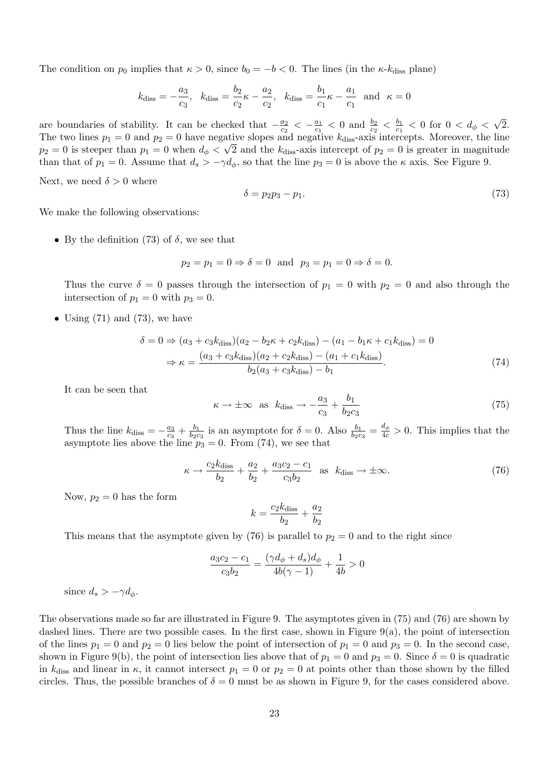The condition on  $p_0$  implies that  $\kappa > 0$ , since  $b_0 = -b < 0$ . The lines (in the  $\kappa$ - $k_{\text{diss}}$  plane)

$$
k_{\text{diss}} = -\frac{a_3}{c_3}, \quad k_{\text{diss}} = \frac{b_2}{c_2}\kappa - \frac{a_2}{c_2}, \quad k_{\text{diss}} = \frac{b_1}{c_1}\kappa - \frac{a_1}{c_1} \quad \text{and} \quad \kappa = 0
$$

are boundaries of stability. It can be checked that  $-\frac{a_2}{c_0}$  $\frac{a_2}{c_2} < -\frac{a_1}{c_1}$  $\frac{a_1}{c_1} < 0$  and  $\frac{b_2}{c_2} < \frac{b_1}{c_1}$  $\frac{b_1}{c_1} < 0$  for  $0 < d_\phi <$ √ 2. The two lines  $p_1 = 0$  and  $p_2 = 0$  have negative slopes and negative  $k_{\text{diss}}$ -axis intercepts. Moreover, the line  $p_2 = 0$  is steeper than  $p_1 = 0$  when  $d_{\phi} < \sqrt{2}$  and the  $k_{\text{diss}}$ -axis intercept of  $p_2 = 0$  is greater in magnitude than that of  $p_1 = 0$ . Assume that  $d_s > -\gamma d_\phi$ , so that the line  $p_3 = 0$  is above the  $\kappa$  axis. See Figure 9.

Next, we need  $\delta > 0$  where

$$
\delta = p_2 p_3 - p_1. \tag{73}
$$

We make the following observations:

• By the definition (73) of  $\delta$ , we see that

$$
p_2 = p_1 = 0 \Rightarrow \delta = 0
$$
 and  $p_3 = p_1 = 0 \Rightarrow \delta = 0$ .

Thus the curve  $\delta = 0$  passes through the intersection of  $p_1 = 0$  with  $p_2 = 0$  and also through the intersection of  $p_1 = 0$  with  $p_3 = 0$ .

• Using  $(71)$  and  $(73)$ , we have

$$
\delta = 0 \Rightarrow (a_3 + c_3 k_{\text{diss}})(a_2 - b_2 \kappa + c_2 k_{\text{diss}}) - (a_1 - b_1 \kappa + c_1 k_{\text{diss}}) = 0
$$
  

$$
\Rightarrow \kappa = \frac{(a_3 + c_3 k_{\text{diss}})(a_2 + c_2 k_{\text{diss}}) - (a_1 + c_1 k_{\text{diss}})}{b_2 (a_3 + c_3 k_{\text{diss}}) - b_1}.
$$
 (74)

It can be seen that

$$
\kappa \to \pm \infty \quad \text{as} \quad k_{\text{diss}} \to -\frac{a_3}{c_3} + \frac{b_1}{b_2 c_3} \tag{75}
$$

Thus the line  $k_{\text{diss}} = -\frac{a_3}{c_3}$  $\frac{a_3}{c_3} + \frac{b_1}{b_2c}$  $\frac{b_1}{b_2c_3}$  is an asymptote for  $\delta = 0$ . Also  $\frac{b_1}{b_2c_3} = \frac{d_{\phi}}{4c} > 0$ . This implies that the asymptote lies above the line  $p_3 = 0$ . From (74), we see that

$$
\kappa \to \frac{c_2 k_{\text{diss}}}{b_2} + \frac{a_2}{b_2} + \frac{a_3 c_2 - c_1}{c_3 b_2} \quad \text{as} \quad k_{\text{diss}} \to \pm \infty. \tag{76}
$$

Now,  $p_2 = 0$  has the form

$$
k = \frac{c_2 k_{\text{diss}}}{b_2} + \frac{a_2}{b_2}
$$

This means that the asymptote given by (76) is parallel to  $p_2 = 0$  and to the right since

$$
\frac{a_3c_2 - c_1}{c_3b_2} = \frac{(\gamma d_{\phi} + d_s)d_{\phi}}{4b(\gamma - 1)} + \frac{1}{4b} > 0
$$

since  $d_s > -\gamma d_{\phi}$ .

The observations made so far are illustrated in Figure 9. The asymptotes given in (75) and (76) are shown by dashed lines. There are two possible cases. In the first case, shown in Figure  $9(a)$ , the point of intersection of the lines  $p_1 = 0$  and  $p_2 = 0$  lies below the point of intersection of  $p_1 = 0$  and  $p_3 = 0$ . In the second case, shown in Figure 9(b), the point of intersection lies above that of  $p_1 = 0$  and  $p_3 = 0$ . Since  $\delta = 0$  is quadratic in  $k_{\text{diss}}$  and linear in  $\kappa$ , it cannot intersect  $p_1 = 0$  or  $p_2 = 0$  at points other than those shown by the filled circles. Thus, the possible branches of  $\delta = 0$  must be as shown in Figure 9, for the cases considered above.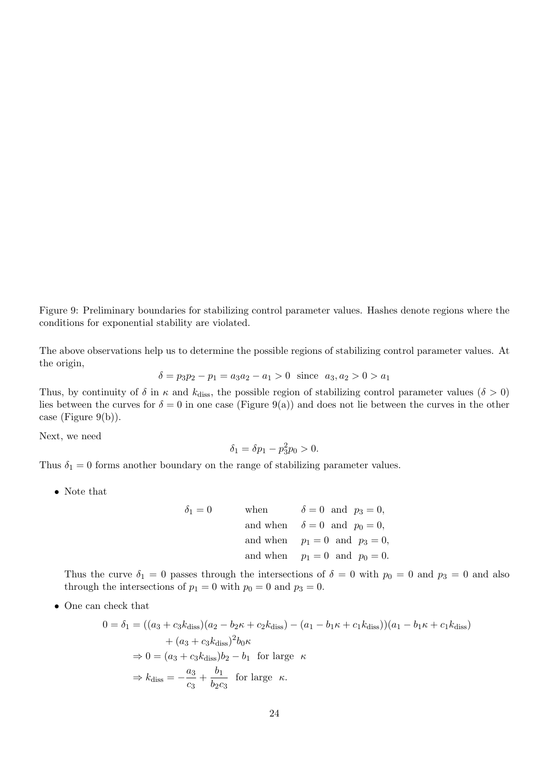Figure 9: Preliminary boundaries for stabilizing control parameter values. Hashes denote regions where the conditions for exponential stability are violated.

The above observations help us to determine the possible regions of stabilizing control parameter values. At the origin,

$$
\delta = p_3 p_2 - p_1 = a_3 a_2 - a_1 > 0 \text{ since } a_3, a_2 > 0 > a_1
$$

Thus, by continuity of  $\delta$  in  $\kappa$  and  $k_{\text{diss}}$ , the possible region of stabilizing control parameter values  $(\delta > 0)$ lies between the curves for  $\delta = 0$  in one case (Figure 9(a)) and does not lie between the curves in the other case (Figure 9(b)).

Next, we need

$$
\delta_1 = \delta p_1 - p_3^2 p_0 > 0.
$$

Thus  $\delta_1 = 0$  forms another boundary on the range of stabilizing parameter values.

• Note that

$$
\begin{aligned}\n\delta_1 &= 0 & \text{when} & \delta &= 0 \text{ and } p_3 = 0, \\
\text{and when} & \delta &= 0 \text{ and } p_0 = 0, \\
\text{and when} & p_1 &= 0 \text{ and } p_3 = 0, \\
\text{and when} & p_1 &= 0 \text{ and } p_0 = 0.\n\end{aligned}
$$

Thus the curve  $\delta_1 = 0$  passes through the intersections of  $\delta = 0$  with  $p_0 = 0$  and  $p_3 = 0$  and also through the intersections of  $p_1 = 0$  with  $p_0 = 0$  and  $p_3 = 0$ .

• One can check that

$$
0 = \delta_1 = ((a_3 + c_3k_{\text{diss}})(a_2 - b_2\kappa + c_2k_{\text{diss}}) - (a_1 - b_1\kappa + c_1k_{\text{diss}}))(a_1 - b_1\kappa + c_1k_{\text{diss}})
$$
  
+  $(a_3 + c_3k_{\text{diss}})^2b_0\kappa$   

$$
\Rightarrow 0 = (a_3 + c_3k_{\text{diss}})b_2 - b_1 \text{ for large } \kappa
$$
  

$$
\Rightarrow k_{\text{diss}} = -\frac{a_3}{c_3} + \frac{b_1}{b_2c_3} \text{ for large } \kappa.
$$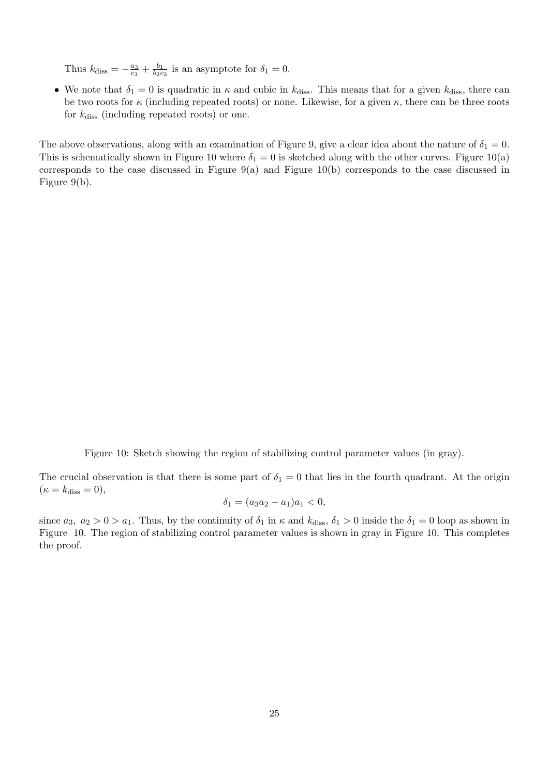Thus  $k_{\text{diss}} = -\frac{a_3}{c_3}$  $\frac{a_3}{c_3} + \frac{b_1}{b_2c}$  $\frac{b_1}{b_2c_3}$  is an asymptote for  $\delta_1 = 0$ .

• We note that  $\delta_1 = 0$  is quadratic in  $\kappa$  and cubic in  $k_{\text{diss}}$ . This means that for a given  $k_{\text{diss}}$ , there can be two roots for  $\kappa$  (including repeated roots) or none. Likewise, for a given  $\kappa$ , there can be three roots for  $k_{\text{diss}}$  (including repeated roots) or one.

The above observations, along with an examination of Figure 9, give a clear idea about the nature of  $\delta_1 = 0$ . This is schematically shown in Figure 10 where  $\delta_1 = 0$  is sketched along with the other curves. Figure 10(a) corresponds to the case discussed in Figure 9(a) and Figure 10(b) corresponds to the case discussed in Figure 9(b).

Figure 10: Sketch showing the region of stabilizing control parameter values (in gray).

The crucial observation is that there is some part of  $\delta_1 = 0$  that lies in the fourth quadrant. At the origin  $(\kappa = k_{\text{diss}} = 0),$ 

$$
\delta_1 = (a_3a_2 - a_1)a_1 < 0,
$$

since  $a_3$ ,  $a_2 > 0 > a_1$ . Thus, by the continuity of  $\delta_1$  in  $\kappa$  and  $k_{\text{diss}}$ ,  $\delta_1 > 0$  inside the  $\delta_1 = 0$  loop as shown in Figure 10. The region of stabilizing control parameter values is shown in gray in Figure 10. This completes the proof.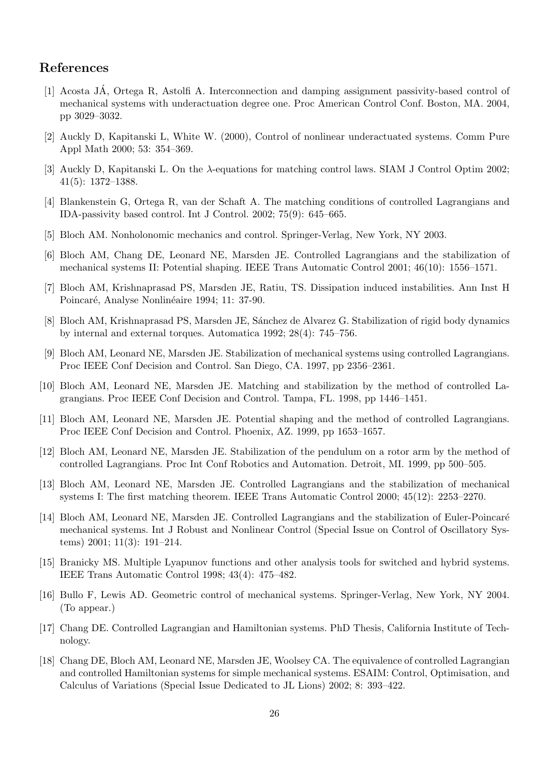# References

- [1] Acosta JA, Ortega R, Astolfi A. Interconnection and damping assignment passivity-based control of ´ mechanical systems with underactuation degree one. Proc American Control Conf. Boston, MA. 2004, pp 3029–3032.
- [2] Auckly D, Kapitanski L, White W. (2000), Control of nonlinear underactuated systems. Comm Pure Appl Math 2000; 53: 354–369.
- [3] Auckly D, Kapitanski L. On the λ-equations for matching control laws. SIAM J Control Optim 2002; 41(5): 1372–1388.
- [4] Blankenstein G, Ortega R, van der Schaft A. The matching conditions of controlled Lagrangians and IDA-passivity based control. Int J Control. 2002; 75(9): 645–665.
- [5] Bloch AM. Nonholonomic mechanics and control. Springer-Verlag, New York, NY 2003.
- [6] Bloch AM, Chang DE, Leonard NE, Marsden JE. Controlled Lagrangians and the stabilization of mechanical systems II: Potential shaping. IEEE Trans Automatic Control 2001; 46(10): 1556–1571.
- [7] Bloch AM, Krishnaprasad PS, Marsden JE, Ratiu, TS. Dissipation induced instabilities. Ann Inst H Poincaré, Analyse Nonlinéaire 1994; 11: 37-90.
- [8] Bloch AM, Krishnaprasad PS, Marsden JE, Sánchez de Alvarez G. Stabilization of rigid body dynamics by internal and external torques. Automatica 1992; 28(4): 745–756.
- [9] Bloch AM, Leonard NE, Marsden JE. Stabilization of mechanical systems using controlled Lagrangians. Proc IEEE Conf Decision and Control. San Diego, CA. 1997, pp 2356–2361.
- [10] Bloch AM, Leonard NE, Marsden JE. Matching and stabilization by the method of controlled Lagrangians. Proc IEEE Conf Decision and Control. Tampa, FL. 1998, pp 1446–1451.
- [11] Bloch AM, Leonard NE, Marsden JE. Potential shaping and the method of controlled Lagrangians. Proc IEEE Conf Decision and Control. Phoenix, AZ. 1999, pp 1653–1657.
- [12] Bloch AM, Leonard NE, Marsden JE. Stabilization of the pendulum on a rotor arm by the method of controlled Lagrangians. Proc Int Conf Robotics and Automation. Detroit, MI. 1999, pp 500–505.
- [13] Bloch AM, Leonard NE, Marsden JE. Controlled Lagrangians and the stabilization of mechanical systems I: The first matching theorem. IEEE Trans Automatic Control 2000; 45(12): 2253–2270.
- [14] Bloch AM, Leonard NE, Marsden JE. Controlled Lagrangians and the stabilization of Euler-Poincaré mechanical systems. Int J Robust and Nonlinear Control (Special Issue on Control of Oscillatory Systems) 2001; 11(3): 191–214.
- [15] Branicky MS. Multiple Lyapunov functions and other analysis tools for switched and hybrid systems. IEEE Trans Automatic Control 1998; 43(4): 475–482.
- [16] Bullo F, Lewis AD. Geometric control of mechanical systems. Springer-Verlag, New York, NY 2004. (To appear.)
- [17] Chang DE. Controlled Lagrangian and Hamiltonian systems. PhD Thesis, California Institute of Technology.
- [18] Chang DE, Bloch AM, Leonard NE, Marsden JE, Woolsey CA. The equivalence of controlled Lagrangian and controlled Hamiltonian systems for simple mechanical systems. ESAIM: Control, Optimisation, and Calculus of Variations (Special Issue Dedicated to JL Lions) 2002; 8: 393–422.